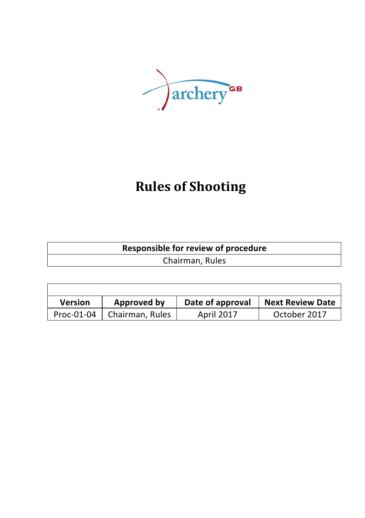archery

# **Rules of Shooting**

# **Responsible for review of procedure**

Chairman, Rules

| Version | Approved by                  | Date of approval  | <b>Next Review Date</b> |
|---------|------------------------------|-------------------|-------------------------|
|         | Proc-01-04   Chairman, Rules | <b>April 2017</b> | October 2017            |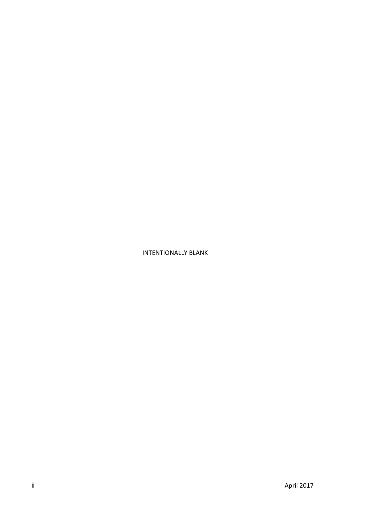INTENTIONALLY BLANK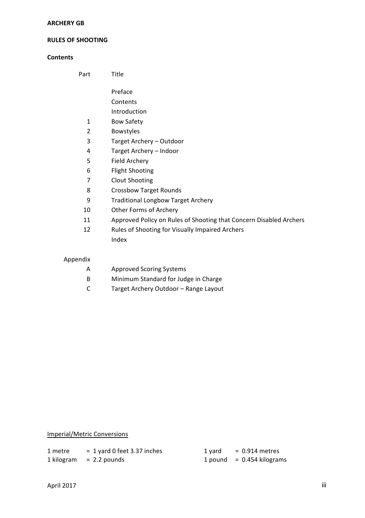# **ARCHERY GB**

# **RULES OF SHOOTING**

#### **Contents**

Part Title

|    | Preface                                                            |
|----|--------------------------------------------------------------------|
|    | Contents                                                           |
|    | Introduction                                                       |
| 1  | <b>Bow Safety</b>                                                  |
| 2  | Bowstyles                                                          |
| 3  | Target Archery - Outdoor                                           |
| 4  | Target Archery - Indoor                                            |
| 5  | Field Archery                                                      |
| 6  | <b>Flight Shooting</b>                                             |
| 7  | Clout Shooting                                                     |
| 8  | <b>Crossbow Target Rounds</b>                                      |
| 9  | <b>Traditional Longbow Target Archery</b>                          |
| 10 | Other Forms of Archery                                             |
| 11 | Approved Policy on Rules of Shooting that Concern Disabled Archers |
| 12 | Rules of Shooting for Visually Impaired Archers<br>Index           |
|    |                                                                    |

# Appendix

| A        | <b>Approved Scoring Systems</b>      |
|----------|--------------------------------------|
| <b>B</b> | Minimum Standard for Judge in Charge |

C Target Archery Outdoor – Range Layout

# **Imperial/Metric Conversions**

| 1 metre | $= 1$ yard 0 feet 3.37 inches | 1 vard | $= 0.914$ metres            |
|---------|-------------------------------|--------|-----------------------------|
|         | $1$ kilogram = 2.2 pounds     |        | $1$ pound = 0.454 kilograms |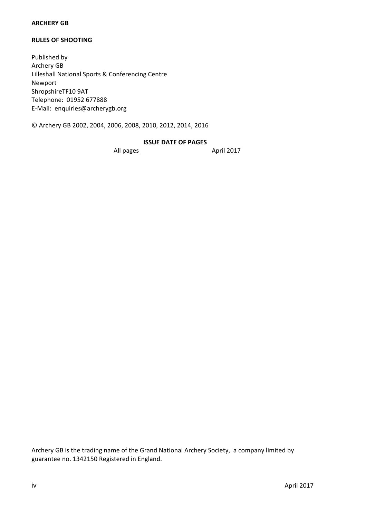#### **ARCHERY GB**

#### **RULES OF SHOOTING**

Published by Archery GB Lilleshall National Sports & Conferencing Centre Newport ShropshireTF10 9AT Telephone: 01952 677888 E-Mail: enquiries@archerygb.org

© Archery GB 2002, 2004, 2006, 2008, 2010, 2012, 2014, 2016

#### **ISSUE DATE OF PAGES**

All pages April 2017

Archery GB is the trading name of the Grand National Archery Society, a company limited by guarantee no. 1342150 Registered in England.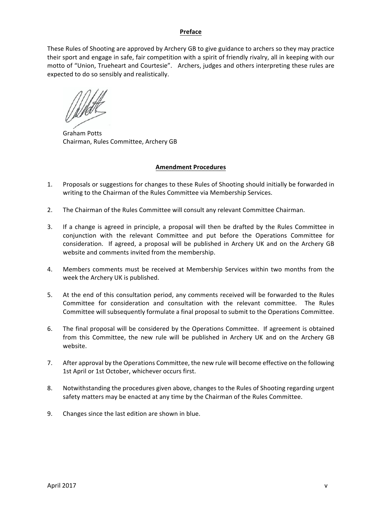#### **Preface**

These Rules of Shooting are approved by Archery GB to give guidance to archers so they may practice their sport and engage in safe, fair competition with a spirit of friendly rivalry, all in keeping with our motto of "Union, Trueheart and Courtesie". Archers, judges and others interpreting these rules are expected to do so sensibly and realistically.

Graham Potts Chairman, Rules Committee, Archery GB

#### **Amendment Procedures**

- 1. Proposals or suggestions for changes to these Rules of Shooting should initially be forwarded in writing to the Chairman of the Rules Committee via Membership Services.
- 2. The Chairman of the Rules Committee will consult any relevant Committee Chairman.
- 3. If a change is agreed in principle, a proposal will then be drafted by the Rules Committee in conjunction with the relevant Committee and put before the Operations Committee for consideration. If agreed, a proposal will be published in Archery UK and on the Archery GB website and comments invited from the membership.
- 4. Members comments must be received at Membership Services within two months from the week the Archery UK is published.
- 5. At the end of this consultation period, any comments received will be forwarded to the Rules Committee for consideration and consultation with the relevant committee. The Rules Committee will subsequently formulate a final proposal to submit to the Operations Committee.
- 6. The final proposal will be considered by the Operations Committee. If agreement is obtained from this Committee, the new rule will be published in Archery UK and on the Archery GB website.
- 7. After approval by the Operations Committee, the new rule will become effective on the following 1st April or 1st October, whichever occurs first.
- 8. Notwithstanding the procedures given above, changes to the Rules of Shooting regarding urgent safety matters may be enacted at any time by the Chairman of the Rules Committee.
- 9. Changes since the last edition are shown in blue.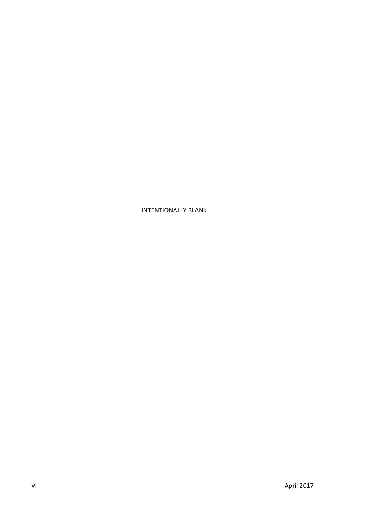# INTENTIONALLY BLANK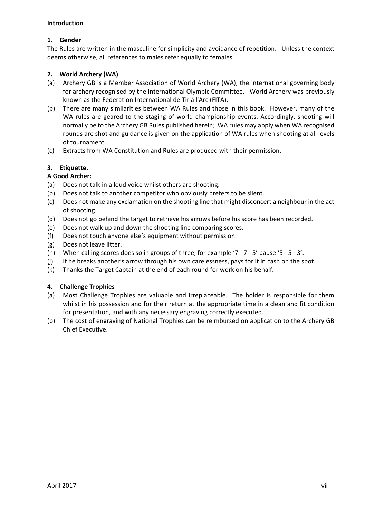#### **Introduction**

#### **1. Gender**

The Rules are written in the masculine for simplicity and avoidance of repetition. Unless the context deems otherwise, all references to males refer equally to females.

#### **2. World Archery (WA)**

- (a) Archery GB is a Member Association of World Archery (WA), the international governing body for archery recognised by the International Olympic Committee. World Archery was previously known as the Federation International de Tir à l'Arc (FITA).
- (b) There are many similarities between WA Rules and those in this book. However, many of the WA rules are geared to the staging of world championship events. Accordingly, shooting will normally be to the Archery GB Rules published herein; WA rules may apply when WA recognised rounds are shot and guidance is given on the application of WA rules when shooting at all levels of tournament.
- (c) Extracts from WA Constitution and Rules are produced with their permission.

#### **3. Etiquette.**

# **A Good Archer:**

- (a) Does not talk in a loud voice whilst others are shooting.
- (b) Does not talk to another competitor who obviously prefers to be silent.
- (c) Does not make any exclamation on the shooting line that might disconcert a neighbour in the act of shooting.
- (d) Does not go behind the target to retrieve his arrows before his score has been recorded.
- (e) Does not walk up and down the shooting line comparing scores.
- (f) Does not touch anyone else's equipment without permission.
- (g) Does not leave litter.
- (h) When calling scores does so in groups of three, for example  $7 7 5'$  pause  $5 5 3'$ .
- $(i)$  If he breaks another's arrow through his own carelessness, pays for it in cash on the spot.
- (k) Thanks the Target Captain at the end of each round for work on his behalf.

#### **4. Challenge Trophies**

- (a) Most Challenge Trophies are valuable and irreplaceable. The holder is responsible for them whilst in his possession and for their return at the appropriate time in a clean and fit condition for presentation, and with any necessary engraving correctly executed.
- (b) The cost of engraving of National Trophies can be reimbursed on application to the Archery GB Chief Executive.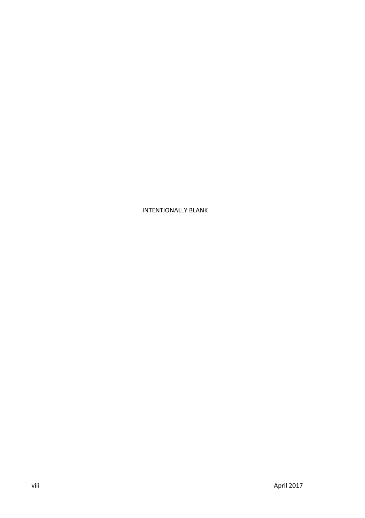# INTENTIONALLY BLANK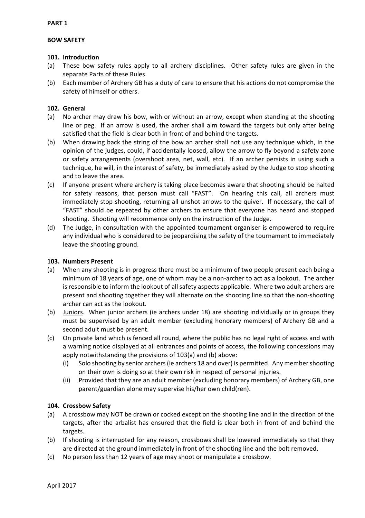# **BOW SAFETY**

#### **101. Introduction**

- (a) These bow safety rules apply to all archery disciplines. Other safety rules are given in the separate Parts of these Rules.
- (b) Each member of Archery GB has a duty of care to ensure that his actions do not compromise the safety of himself or others.

#### **102. General**

- (a) No archer may draw his bow, with or without an arrow, except when standing at the shooting line or peg. If an arrow is used, the archer shall aim toward the targets but only after being satisfied that the field is clear both in front of and behind the targets.
- (b) When drawing back the string of the bow an archer shall not use any technique which, in the opinion of the judges, could, if accidentally loosed, allow the arrow to fly beyond a safety zone or safety arrangements (overshoot area, net, wall, etc). If an archer persists in using such a technique, he will, in the interest of safety, be immediately asked by the Judge to stop shooting and to leave the area.
- (c) If anyone present where archery is taking place becomes aware that shooting should be halted for safety reasons, that person must call "FAST". On hearing this call, all archers must immediately stop shooting, returning all unshot arrows to the quiver. If necessary, the call of "FAST" should be repeated by other archers to ensure that everyone has heard and stopped shooting. Shooting will recommence only on the instruction of the Judge.
- (d) The Judge, in consultation with the appointed tournament organiser is empowered to require any individual who is considered to be jeopardising the safety of the tournament to immediately leave the shooting ground.

#### **103. Numbers Present**

- (a) When any shooting is in progress there must be a minimum of two people present each being a minimum of 18 years of age, one of whom may be a non-archer to act as a lookout. The archer is responsible to inform the lookout of all safety aspects applicable. Where two adult archers are present and shooting together they will alternate on the shooting line so that the non-shooting archer can act as the lookout.
- (b) Juniors. When junior archers (ie archers under 18) are shooting individually or in groups they must be supervised by an adult member (excluding honorary members) of Archery GB and a second adult must be present.
- (c) On private land which is fenced all round, where the public has no legal right of access and with a warning notice displayed at all entrances and points of access, the following concessions may apply notwithstanding the provisions of  $103(a)$  and (b) above:
	- (i) Solo shooting by senior archers (ie archers 18 and over) is permitted. Any member shooting on their own is doing so at their own risk in respect of personal injuries.
	- (ii) Provided that they are an adult member (excluding honorary members) of Archery GB, one parent/guardian alone may supervise his/her own child(ren).

#### **104. Crossbow Safety**

- (a) A crossbow may NOT be drawn or cocked except on the shooting line and in the direction of the targets, after the arbalist has ensured that the field is clear both in front of and behind the targets.
- (b) If shooting is interrupted for any reason, crossbows shall be lowered immediately so that they are directed at the ground immediately in front of the shooting line and the bolt removed.
- (c) No person less than 12 years of age may shoot or manipulate a crossbow.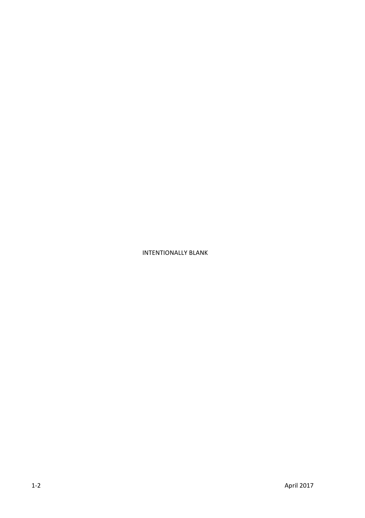INTENTIONALLY BLANK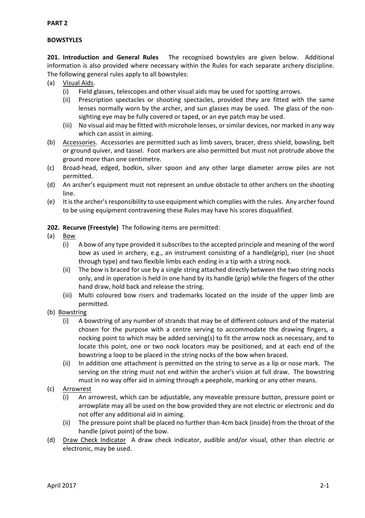#### **PART 2**

## **BOWSTYLES**

**201. Introduction and General Rules** The recognised bowstyles are given below. Additional information is also provided where necessary within the Rules for each separate archery discipline. The following general rules apply to all bowstyles:

- (a) Visual Aids.
	- $(i)$  Field glasses, telescopes and other visual aids may be used for spotting arrows.
	- (ii) Prescription spectacles or shooting spectacles, provided they are fitted with the same lenses normally worn by the archer, and sun glasses may be used. The glass of the nonsighting eve may be fully covered or taped, or an eve patch may be used.
	- (iii) No visual aid may be fitted with microhole lenses, or similar devices, nor marked in any way which can assist in aiming.
- (b) Accessories. Accessories are permitted such as limb savers, bracer, dress shield, bowsling, belt or ground quiver, and tassel. Foot markers are also permitted but must not protrude above the ground more than one centimetre.
- (c) Broad-head, edged, bodkin, silver spoon and any other large diameter arrow piles are not permitted.
- (d) An archer's equipment must not represent an undue obstacle to other archers on the shooting line.
- (e) It is the archer's responsibility to use equipment which complies with the rules. Any archer found to be using equipment contravening these Rules may have his scores disqualified.
- **202. Recurve (Freestyle)** The following items are permitted:
- (a) Bow
	- (i) A bow of any type provided it subscribes to the accepted principle and meaning of the word bow as used in archery, e.g., an instrument consisting of a handle(grip), riser (no shoot through type) and two flexible limbs each ending in a tip with a string nock.
	- (ii) The bow is braced for use by a single string attached directly between the two string nocks only, and in operation is held in one hand by its handle (grip) while the fingers of the other hand draw, hold back and release the string.
	- (iii) Multi coloured bow risers and trademarks located on the inside of the upper limb are permitted.
- (b) Bowstring
	- $(i)$  A bowstring of any number of strands that may be of different colours and of the material chosen for the purpose with a centre serving to accommodate the drawing fingers, a nocking point to which may be added serving(s) to fit the arrow nock as necessary, and to locate this point, one or two nock locators may be positioned, and at each end of the bowstring a loop to be placed in the string nocks of the bow when braced.
	- (ii) In addition one attachment is permitted on the string to serve as a lip or nose mark. The serving on the string must not end within the archer's vision at full draw. The bowstring must in no way offer aid in aiming through a peephole, marking or any other means.
- (c) Arrowrest
	- (i) An arrowrest, which can be adjustable, any moveable pressure button, pressure point or arrowplate may all be used on the bow provided they are not electric or electronic and do not offer any additional aid in aiming.
	- (ii) The pressure point shall be placed no further than 4cm back (inside) from the throat of the handle (pivot point) of the bow.
- (d) Draw Check Indicator A draw check indicator, audible and/or visual, other than electric or electronic, may be used.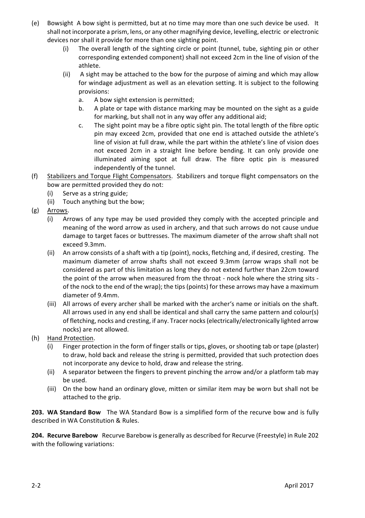- (e) Bowsight A bow sight is permitted, but at no time may more than one such device be used. It shall not incorporate a prism, lens, or any other magnifying device, levelling, electric or electronic devices nor shall it provide for more than one sighting point.
	- (i) The overall length of the sighting circle or point (tunnel, tube, sighting pin or other corresponding extended component) shall not exceed 2cm in the line of vision of the athlete.
	- (ii) A sight may be attached to the bow for the purpose of aiming and which may allow for windage adjustment as well as an elevation setting. It is subject to the following provisions:
		- a. A bow sight extension is permitted;
		- b. A plate or tape with distance marking may be mounted on the sight as a guide for marking, but shall not in any way offer any additional aid:
		- c. The sight point may be a fibre optic sight pin. The total length of the fibre optic pin may exceed 2cm, provided that one end is attached outside the athlete's line of vision at full draw, while the part within the athlete's line of vision does not exceed 2cm in a straight line before bending. It can only provide one illuminated aiming spot at full draw. The fibre optic pin is measured independently of the tunnel.
- (f) Stabilizers and Torque Flight Compensators. Stabilizers and torque flight compensators on the bow are permitted provided they do not:
	- $(i)$  Serve as a string guide;
	- (ii) Touch anything but the bow;
- (g) Arrows.
	- (i) Arrows of any type may be used provided they comply with the accepted principle and meaning of the word arrow as used in archery, and that such arrows do not cause undue damage to target faces or buttresses. The maximum diameter of the arrow shaft shall not exceed 9.3mm.
	- (ii) An arrow consists of a shaft with a tip (point), nocks, fletching and, if desired, cresting. The maximum diameter of arrow shafts shall not exceed 9.3mm (arrow wraps shall not be considered as part of this limitation as long they do not extend further than 22cm toward the point of the arrow when measured from the throat - nock hole where the string sits of the nock to the end of the wrap); the tips (points) for these arrows may have a maximum diameter of 9.4mm.
	- (iii) All arrows of every archer shall be marked with the archer's name or initials on the shaft. All arrows used in any end shall be identical and shall carry the same pattern and colour(s) of fletching, nocks and cresting, if any. Tracer nocks (electrically/electronically lighted arrow nocks) are not allowed.
- (h) Hand Protection.
	- (i) Finger protection in the form of finger stalls or tips, gloves, or shooting tab or tape (plaster) to draw, hold back and release the string is permitted, provided that such protection does not incorporate any device to hold, draw and release the string.
	- (ii) A separator between the fingers to prevent pinching the arrow and/or a platform tab may be used.
	- (iii) On the bow hand an ordinary glove, mitten or similar item may be worn but shall not be attached to the grip.

**203. WA Standard Bow** The WA Standard Bow is a simplified form of the recurve bow and is fully described in WA Constitution & Rules.

**204. Recurve Barebow** Recurve Barebow is generally as described for Recurve (Freestyle) in Rule 202 with the following variations: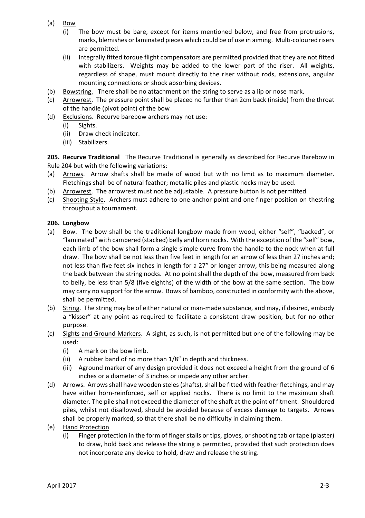- (a) Bow
	- (i) The bow must be bare, except for items mentioned below, and free from protrusions, marks, blemishes or laminated pieces which could be of use in aiming. Multi-coloured risers are permitted.
	- (ii) Integrally fitted torque flight compensators are permitted provided that they are not fitted with stabilizers. Weights may be added to the lower part of the riser. All weights, regardless of shape, must mount directly to the riser without rods, extensions, angular mounting connections or shock absorbing devices.
- (b) Bowstring. There shall be no attachment on the string to serve as a lip or nose mark.
- (c) Arrowrest. The pressure point shall be placed no further than 2cm back (inside) from the throat of the handle (pivot point) of the bow
- (d) Exclusions. Recurve barebow archers may not use:
	- (i) Sights.
	- (ii) Draw check indicator.
	- (iii) Stabilizers.

**205. Recurve Traditional** The Recurve Traditional is generally as described for Recurve Barebow in Rule 204 but with the following variations:

- (a) Arrows. Arrow shafts shall be made of wood but with no limit as to maximum diameter. Fletchings shall be of natural feather; metallic piles and plastic nocks may be used.
- (b) Arrowrest. The arrowrest must not be adjustable. A pressure button is not permitted.
- (c) Shooting Style. Archers must adhere to one anchor point and one finger position on thestring throughout a tournament.

#### **206. Longbow**

- (a) Bow. The bow shall be the traditional longbow made from wood, either "self", "backed", or "laminated" with cambered (stacked) belly and horn nocks. With the exception of the "self" bow, each limb of the bow shall form a single simple curve from the handle to the nock when at full draw. The bow shall be not less than five feet in length for an arrow of less than 27 inches and; not less than five feet six inches in length for a 27" or longer arrow, this being measured along the back between the string nocks. At no point shall the depth of the bow, measured from back to belly, be less than 5/8 (five eighths) of the width of the bow at the same section. The bow may carry no support for the arrow. Bows of bamboo, constructed in conformity with the above, shall be permitted.
- (b) String. The string may be of either natural or man-made substance, and may, if desired, embody a "kisser" at any point as required to facilitate a consistent draw position, but for no other purpose.
- (c) Sights and Ground Markers. A sight, as such, is not permitted but one of the following may be used:
	- (i) A mark on the bow limb.
	- (ii) A rubber band of no more than  $1/8$ " in depth and thickness.
	- (iii) Aground marker of any design provided it does not exceed a height from the ground of 6 inches or a diameter of 3 inches or impede any other archer.
- (d) Arrows. Arrows shall have wooden steles (shafts), shall be fitted with feather fletchings, and may have either horn-reinforced, self or applied nocks. There is no limit to the maximum shaft diameter. The pile shall not exceed the diameter of the shaft at the point of fitment. Shouldered piles, whilst not disallowed, should be avoided because of excess damage to targets. Arrows shall be properly marked, so that there shall be no difficulty in claiming them.
- (e) Hand Protection
	- (i) Finger protection in the form of finger stalls or tips, gloves, or shooting tab or tape (plaster) to draw, hold back and release the string is permitted, provided that such protection does not incorporate any device to hold, draw and release the string.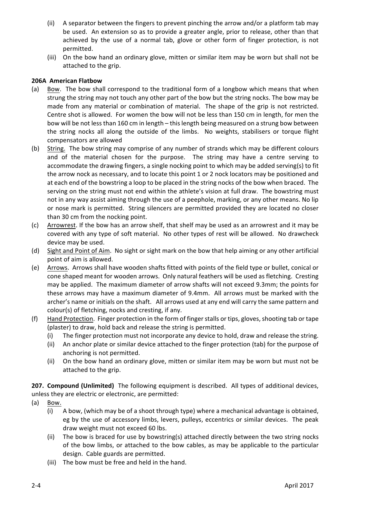- (ii) A separator between the fingers to prevent pinching the arrow and/or a platform tab may be used. An extension so as to provide a greater angle, prior to release, other than that achieved by the use of a normal tab, glove or other form of finger protection, is not permitted.
- (iii) On the bow hand an ordinary glove, mitten or similar item may be worn but shall not be attached to the grip.

#### **206A American Flatbow**

- (a) Bow. The bow shall correspond to the traditional form of a longbow which means that when strung the string may not touch any other part of the bow but the string nocks. The bow may be made from any material or combination of material. The shape of the grip is not restricted. Centre shot is allowed. For women the bow will not be less than 150 cm in length, for men the bow will be not less than 160 cm in length – this length being measured on a strung bow between the string nocks all along the outside of the limbs. No weights, stabilisers or torque flight compensators are allowed
- (b) String. The bow string may comprise of any number of strands which may be different colours and of the material chosen for the purpose. The string may have a centre serving to accommodate the drawing fingers, a single nocking point to which may be added serving(s) to fit the arrow nock as necessary, and to locate this point 1 or 2 nock locators may be positioned and at each end of the bowstring a loop to be placed in the string nocks of the bow when braced. The serving on the string must not end within the athlete's vision at full draw. The bowstring must not in any way assist aiming through the use of a peephole, marking, or any other means. No lip or nose mark is permitted. String silencers are permitted provided they are located no closer than 30 cm from the nocking point.
- (c) Arrowrest. If the bow has an arrow shelf, that shelf may be used as an arrowrest and it may be covered with any type of soft material. No other types of rest will be allowed. No drawcheck device may be used.
- (d) Sight and Point of Aim. No sight or sight mark on the bow that help aiming or any other artificial point of aim is allowed.
- (e) Arrows. Arrows shall have wooden shafts fitted with points of the field type or bullet, conical or cone shaped meant for wooden arrows. Only natural feathers will be used as fletching. Cresting may be applied. The maximum diameter of arrow shafts will not exceed 9.3mm; the points for these arrows may have a maximum diameter of 9.4mm. All arrows must be marked with the archer's name or initials on the shaft. All arrows used at any end will carry the same pattern and colour(s) of fletching, nocks and cresting, if any.
- (f) Hand Protection. Finger protection in the form of finger stalls or tips, gloves, shooting tab or tape (plaster) to draw, hold back and release the string is permitted.
	- $(i)$  The finger protection must not incorporate any device to hold, draw and release the string.
	- (ii) An anchor plate or similar device attached to the finger protection (tab) for the purpose of anchoring is not permitted.
	- (ii) On the bow hand an ordinary glove, mitten or similar item may be worn but must not be attached to the grip.

**207. Compound (Unlimited)** The following equipment is described. All types of additional devices, unless they are electric or electronic, are permitted:

- (a) Bow.
	- (i) A bow, (which may be of a shoot through type) where a mechanical advantage is obtained, eg by the use of accessory limbs, levers, pulleys, eccentrics or similar devices. The peak draw weight must not exceed 60 lbs.
	- (ii) The bow is braced for use by bowstring(s) attached directly between the two string nocks of the bow limbs, or attached to the bow cables, as may be applicable to the particular design. Cable guards are permitted.
	- (iii) The bow must be free and held in the hand.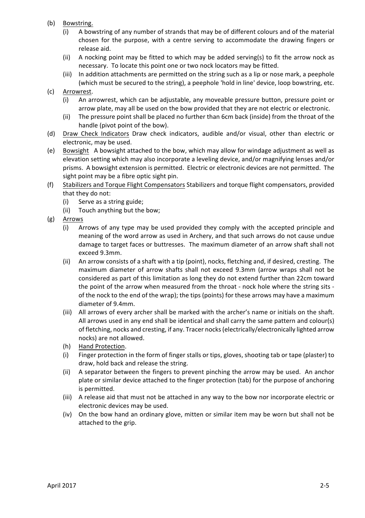- (b) Bowstring.
	- (i) A bowstring of any number of strands that may be of different colours and of the material chosen for the purpose, with a centre serving to accommodate the drawing fingers or release aid.
	- (ii) A nocking point may be fitted to which may be added serving(s) to fit the arrow nock as necessary. To locate this point one or two nock locators may be fitted.
	- (iii) In addition attachments are permitted on the string such as a lip or nose mark, a peephole (which must be secured to the string), a peephole 'hold in line' device, loop bowstring, etc.
- (c) Arrowrest.
	- (i) An arrowrest, which can be adjustable, any moveable pressure button, pressure point or arrow plate, may all be used on the bow provided that they are not electric or electronic.
	- (ii) The pressure point shall be placed no further than 6cm back (inside) from the throat of the handle (pivot point of the bow).
- (d) Draw Check Indicators Draw check indicators, audible and/or visual, other than electric or electronic, may be used.
- (e) Bowsight A bowsight attached to the bow, which may allow for windage adjustment as well as elevation setting which may also incorporate a leveling device, and/or magnifying lenses and/or prisms. A bowsight extension is permitted. Electric or electronic devices are not permitted. The sight point may be a fibre optic sight pin.
- (f) Stabilizers and Torque Flight Compensators Stabilizers and torque flight compensators, provided that they do not:
	- (i) Serve as a string guide;
	- (ii) Touch anything but the bow;
- (g) Arrows
	- (i) Arrows of any type may be used provided they comply with the accepted principle and meaning of the word arrow as used in Archery, and that such arrows do not cause undue damage to target faces or buttresses. The maximum diameter of an arrow shaft shall not exceed 9.3mm.
	- (ii) An arrow consists of a shaft with a tip (point), nocks, fletching and, if desired, cresting. The maximum diameter of arrow shafts shall not exceed 9.3mm (arrow wraps shall not be considered as part of this limitation as long they do not extend further than 22cm toward the point of the arrow when measured from the throat - nock hole where the string sits of the nock to the end of the wrap); the tips (points) for these arrows may have a maximum diameter of 9.4mm.
	- (iii) All arrows of every archer shall be marked with the archer's name or initials on the shaft. All arrows used in any end shall be identical and shall carry the same pattern and colour(s) of fletching, nocks and cresting, if any. Tracer nocks (electrically/electronically lighted arrow nocks) are not allowed.
	- (h) Hand Protection.
	- (i) Finger protection in the form of finger stalls or tips, gloves, shooting tab or tape (plaster) to draw, hold back and release the string.
	- (ii) A separator between the fingers to prevent pinching the arrow may be used. An anchor plate or similar device attached to the finger protection (tab) for the purpose of anchoring is permitted.
	- (iii) A release aid that must not be attached in any way to the bow nor incorporate electric or electronic devices may be used.
	- (iv) On the bow hand an ordinary glove, mitten or similar item may be worn but shall not be attached to the grip.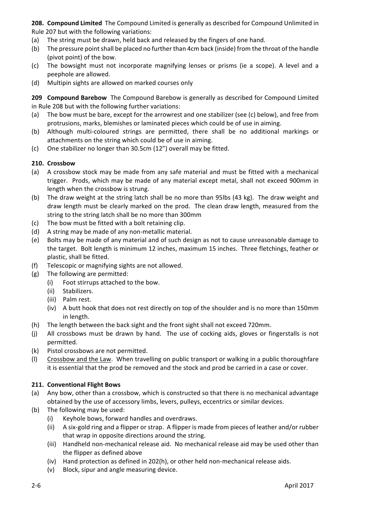**208. Compound Limited** The Compound Limited is generally as described for Compound Unlimited in Rule 207 but with the following variations:

- (a) The string must be drawn, held back and released by the fingers of one hand.
- (b) The pressure point shall be placed no further than 4cm back (inside) from the throat of the handle (pivot point) of the bow.
- (c) The bowsight must not incorporate magnifying lenses or prisms (ie a scope). A level and a peephole are allowed.
- (d) Multipin sights are allowed on marked courses only

**209 Compound Barebow** The Compound Barebow is generally as described for Compound Limited in Rule 208 but with the following further variations:

- (a) The bow must be bare, except for the arrowrest and one stabilizer (see (c) below), and free from protrusions, marks, blemishes or laminated pieces which could be of use in aiming.
- (b) Although multi-coloured strings are permitted, there shall be no additional markings or attachments on the string which could be of use in aiming.
- (c) One stabilizer no longer than 30.5cm (12") overall may be fitted.

#### **210. Crossbow**

- (a) A crossbow stock may be made from any safe material and must be fitted with a mechanical trigger. Prods, which may be made of any material except metal, shall not exceed 900mm in length when the crossbow is strung.
- (b) The draw weight at the string latch shall be no more than 95lbs (43 kg). The draw weight and draw length must be clearly marked on the prod. The clean draw length, measured from the string to the string latch shall be no more than 300mm
- (c) The bow must be fitted with a bolt retaining clip.
- (d) A string may be made of any non-metallic material.
- (e) Bolts may be made of any material and of such design as not to cause unreasonable damage to the target. Bolt length is minimum 12 inches, maximum 15 inches. Three fletchings, feather or plastic, shall be fitted.
- (f) Telescopic or magnifying sights are not allowed.
- $(g)$  The following are permitted:
	- (i) Foot stirrups attached to the bow.
	- (ii) Stabilizers.
	- (iii) Palm rest.
	- (iv) A butt hook that does not rest directly on top of the shoulder and is no more than 150mm in length.
- (h) The length between the back sight and the front sight shall not exceed 720mm.
- (j) All crossbows must be drawn by hand. The use of cocking aids, gloves or fingerstalls is not permitted.
- (k) Pistol crossbows are not permitted.
- (I) Crossbow and the Law. When travelling on public transport or walking in a public thoroughfare it is essential that the prod be removed and the stock and prod be carried in a case or cover.

#### **211. Conventional Flight Bows**

- (a) Any bow, other than a crossbow, which is constructed so that there is no mechanical advantage obtained by the use of accessory limbs, levers, pulleys, eccentrics or similar devices.
- $(b)$  The following may be used:
	- (i) Keyhole bows, forward handles and overdraws.
	- (ii) A six-gold ring and a flipper or strap. A flipper is made from pieces of leather and/or rubber that wrap in opposite directions around the string.
	- (iii) Handheld non-mechanical release aid. No mechanical release aid may be used other than the flipper as defined above
	- (iv) Hand protection as defined in 202(h), or other held non-mechanical release aids.
	- $(v)$  Block, sipur and angle measuring device.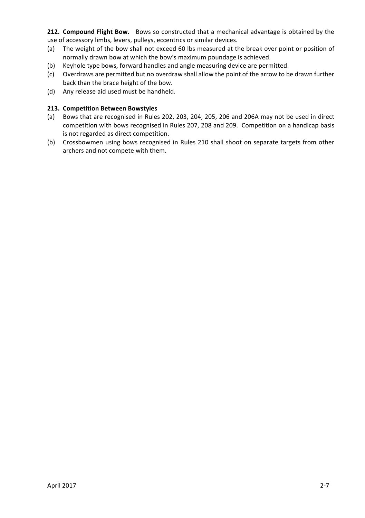**212. Compound Flight Bow.** Bows so constructed that a mechanical advantage is obtained by the use of accessory limbs, levers, pulleys, eccentrics or similar devices.

- (a) The weight of the bow shall not exceed 60 lbs measured at the break over point or position of normally drawn bow at which the bow's maximum poundage is achieved.
- (b) Keyhole type bows, forward handles and angle measuring device are permitted.
- (c) Overdraws are permitted but no overdraw shall allow the point of the arrow to be drawn further back than the brace height of the bow.
- (d) Any release aid used must be handheld.

#### **213. Competition Between Bowstyles**

- (a) Bows that are recognised in Rules 202, 203, 204, 205, 206 and 206A may not be used in direct competition with bows recognised in Rules 207, 208 and 209. Competition on a handicap basis is not regarded as direct competition.
- (b) Crossbowmen using bows recognised in Rules 210 shall shoot on separate targets from other archers and not compete with them.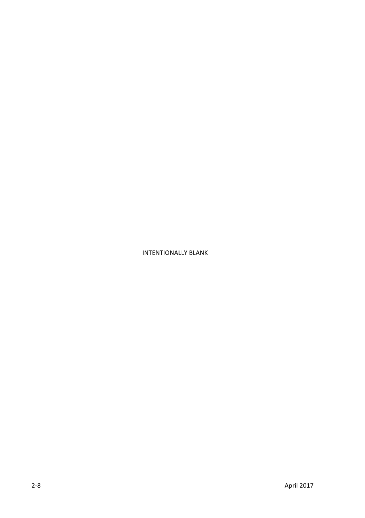INTENTIONALLY BLANK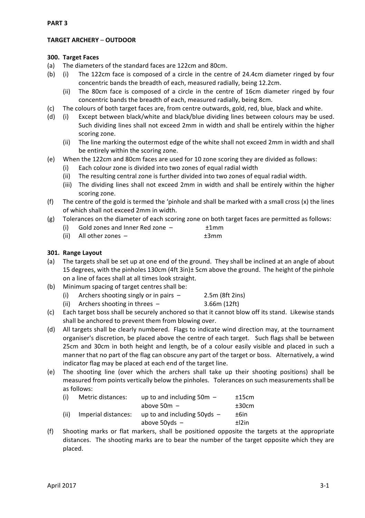# **TARGET ARCHERY** – **OUTDOOR**

#### **300. Target Faces**

- (a) The diameters of the standard faces are 122cm and 80cm.
- (b) (i) The 122cm face is composed of a circle in the centre of 24.4cm diameter ringed by four concentric bands the breadth of each, measured radially, being 12.2cm.
	- (ii) The 80cm face is composed of a circle in the centre of 16cm diameter ringed by four concentric bands the breadth of each, measured radially, being 8cm.
- (c) The colours of both target faces are, from centre outwards, gold, red, blue, black and white.
- (d) (i) Except between black/white and black/blue dividing lines between colours may be used. Such dividing lines shall not exceed 2mm in width and shall be entirely within the higher scoring zone.
	- (ii) The line marking the outermost edge of the white shall not exceed 2mm in width and shall be entirely within the scoring zone.
- (e) When the 122cm and 80cm faces are used for 10 zone scoring they are divided as follows:
	- (i) Each colour zone is divided into two zones of equal radial width
	- (ii) The resulting central zone is further divided into two zones of equal radial width.
	- (iii) The dividing lines shall not exceed 2mm in width and shall be entirely within the higher scoring zone.
- (f) The centre of the gold is termed the 'pinhole and shall be marked with a small cross  $(x)$  the lines of which shall not exceed 2mm in width.
- $(g)$  Tolerances on the diameter of each scoring zone on both target faces are permitted as follows:
	- (i) Gold zones and Inner Red zone  $\qquad$   $\pm$ 1mm
	- (ii) All other zones  $\qquad \qquad \pm 3$ mm

#### **301. Range Layout**

- (a) The targets shall be set up at one end of the ground. They shall be inclined at an angle of about 15 degrees, with the pinholes 130cm (4ft 3in)± 5cm above the ground. The height of the pinhole on a line of faces shall at all times look straight.
- (b) Minimum spacing of target centres shall be:
	- (i) Archers shooting singly or in pairs  $-$  2.5m (8ft 2ins)
	- (ii) Archers shooting in threes  $-$  3.66m (12ft)
- (c) Each target boss shall be securely anchored so that it cannot blow off its stand. Likewise stands shall be anchored to prevent them from blowing over.
- (d) All targets shall be clearly numbered. Flags to indicate wind direction may, at the tournament organiser's discretion, be placed above the centre of each target. Such flags shall be between 25cm and 30cm in both height and length, be of a colour easily visible and placed in such a manner that no part of the flag can obscure any part of the target or boss. Alternatively, a wind indicator flag may be placed at each end of the target line.
- (e) The shooting line (over which the archers shall take up their shooting positions) shall be measured from points vertically below the pinholes. Tolerances on such measurements shall be as follows:

| (i)  | Metric distances:   | up to and including $50m -$   | ±15cm    |
|------|---------------------|-------------------------------|----------|
|      |                     | above $50m -$                 | ±30cm    |
| (ii) | Imperial distances: | up to and including $50vds -$ | ±6in     |
|      |                     | above $50vds -$               | $±12$ in |

(f) Shooting marks or flat markers, shall be positioned opposite the targets at the appropriate distances. The shooting marks are to bear the number of the target opposite which they are placed.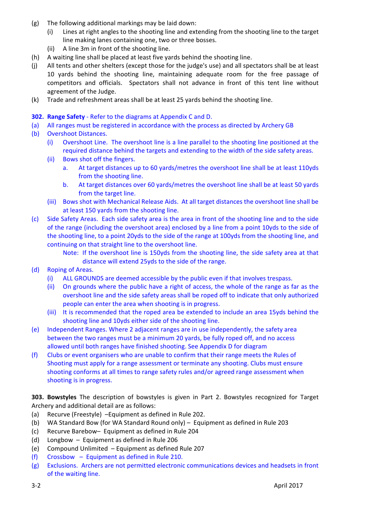- $(g)$  The following additional markings may be laid down:
	- (i) Lines at right angles to the shooting line and extending from the shooting line to the target line making lanes containing one, two or three bosses.
	- (ii) A line 3m in front of the shooting line.
- $(h)$  A waiting line shall be placed at least five vards behind the shooting line.
- (i) All tents and other shelters (except those for the judge's use) and all spectators shall be at least 10 yards behind the shooting line, maintaining adequate room for the free passage of competitors and officials. Spectators shall not advance in front of this tent line without agreement of the Judge.
- (k) Trade and refreshment areas shall be at least 25 yards behind the shooting line.

#### **302. Range Safety** - Refer to the diagrams at Appendix C and D.

- (a) All ranges must be registered in accordance with the process as directed by Archery GB
- (b) Overshoot Distances.
	- (i) Overshoot Line. The overshoot line is a line parallel to the shooting line positioned at the required distance behind the targets and extending to the width of the side safety areas.
	- (ii) Bows shot off the fingers.
		- a. At target distances up to 60 yards/metres the overshoot line shall be at least 110yds from the shooting line.
		- b. At target distances over 60 yards/metres the overshoot line shall be at least 50 yards from the target line.
	- (iii) Bows shot with Mechanical Release Aids. At all target distances the overshoot line shall be at least 150 yards from the shooting line.
- (c) Side Safety Areas. Each side safety area is the area in front of the shooting line and to the side of the range (including the overshoot area) enclosed by a line from a point 10yds to the side of the shooting line, to a point 20yds to the side of the range at 100yds from the shooting line, and continuing on that straight line to the overshoot line.
	- Note: If the overshoot line is 150yds from the shooting line, the side safety area at that distance will extend 25yds to the side of the range.
- (d) Roping of Areas.
	- (i) ALL GROUNDS are deemed accessible by the public even if that involves trespass.
	- (ii) On grounds where the public have a right of access, the whole of the range as far as the overshoot line and the side safety areas shall be roped off to indicate that only authorized people can enter the area when shooting is in progress.
	- (iii) It is recommended that the roped area be extended to include an area 15yds behind the shooting line and 10yds either side of the shooting line.
- (e) Independent Ranges. Where 2 adjacent ranges are in use independently, the safety area between the two ranges must be a minimum 20 yards, be fully roped off, and no access allowed until both ranges have finished shooting. See Appendix D for diagram
- (f) Clubs or event organisers who are unable to confirm that their range meets the Rules of Shooting must apply for a range assessment or terminate any shooting. Clubs must ensure shooting conforms at all times to range safety rules and/or agreed range assessment when shooting is in progress.

**303. Bowstyles** The description of bowstyles is given in Part 2. Bowstyles recognized for Target Archery and additional detail are as follows:

- (a) Recurve (Freestyle) -Equipment as defined in Rule 202.
- (b) WA Standard Bow (for WA Standard Round only) Equipment as defined in Rule 203
- (c) Recurve Barebow- Equipment as defined in Rule 204
- (d) Longbow  $-$  Equipment as defined in Rule 206
- (e) Compound Unlimited  $-$  Equipment as defined Rule 207
- (f) Crossbow  $-$  Equipment as defined in Rule 210.
- (g) Exclusions. Archers are not permitted electronic communications devices and headsets in front of the waiting line.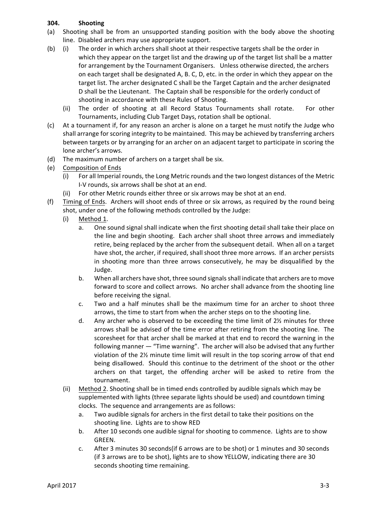#### **304. Shooting**

- (a) Shooting shall be from an unsupported standing position with the body above the shooting line. Disabled archers may use appropriate support.
- (b) (i) The order in which archers shall shoot at their respective targets shall be the order in which they appear on the target list and the drawing up of the target list shall be a matter for arrangement by the Tournament Organisers. Unless otherwise directed, the archers on each target shall be designated A, B. C, D, etc. in the order in which they appear on the target list. The archer designated C shall be the Target Captain and the archer designated D shall be the Lieutenant. The Captain shall be responsible for the orderly conduct of shooting in accordance with these Rules of Shooting.
	- (ii) The order of shooting at all Record Status Tournaments shall rotate. For other Tournaments, including Club Target Days, rotation shall be optional.
- (c) At a tournament if, for any reason an archer is alone on a target he must notify the Judge who shall arrange for scoring integrity to be maintained. This may be achieved by transferring archers between targets or by arranging for an archer on an adjacent target to participate in scoring the lone archer's arrows.
- (d) The maximum number of archers on a target shall be six.
- (e) Composition of Ends
	- (i) For all Imperial rounds, the Long Metric rounds and the two longest distances of the Metric I-V rounds, six arrows shall be shot at an end.
	- (ii) For other Metric rounds either three or six arrows may be shot at an end.
- (f) Timing of Ends. Archers will shoot ends of three or six arrows, as required by the round being shot, under one of the following methods controlled by the Judge:
	- (i) Method 1.
		- a. One sound signal shall indicate when the first shooting detail shall take their place on the line and begin shooting. Each archer shall shoot three arrows and immediately retire, being replaced by the archer from the subsequent detail. When all on a target have shot, the archer, if required, shall shoot three more arrows. If an archer persists in shooting more than three arrows consecutively, he may be disqualified by the Judge.
		- b. When all archers have shot, three sound signals shall indicate that archers are to move forward to score and collect arrows. No archer shall advance from the shooting line before receiving the signal.
		- c. Two and a half minutes shall be the maximum time for an archer to shoot three arrows, the time to start from when the archer steps on to the shooting line.
		- d. Any archer who is observed to be exceeding the time limit of  $2\frac{1}{2}$  minutes for three arrows shall be advised of the time error after retiring from the shooting line. The scoresheet for that archer shall be marked at that end to record the warning in the following manner  $-$  "Time warning". The archer will also be advised that any further violation of the  $2\frac{1}{2}$  minute time limit will result in the top scoring arrow of that end being disallowed. Should this continue to the detriment of the shoot or the other archers on that target, the offending archer will be asked to retire from the tournament.
	- (ii) Method 2. Shooting shall be in timed ends controlled by audible signals which may be supplemented with lights (three separate lights should be used) and countdown timing clocks. The sequence and arrangements are as follows:
		- a. Two audible signals for archers in the first detail to take their positions on the shooting line. Lights are to show RED
		- b. After 10 seconds one audible signal for shooting to commence. Lights are to show GREEN.
		- c. After 3 minutes 30 seconds (if 6 arrows are to be shot) or 1 minutes and 30 seconds (if 3 arrows are to be shot), lights are to show YELLOW, indicating there are 30 seconds shooting time remaining.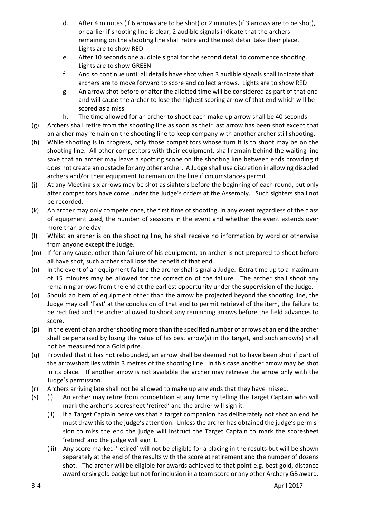- d. After 4 minutes (if 6 arrows are to be shot) or 2 minutes (if 3 arrows are to be shot), or earlier if shooting line is clear, 2 audible signals indicate that the archers remaining on the shooting line shall retire and the next detail take their place. Lights are to show RED
- e. After 10 seconds one audible signal for the second detail to commence shooting. Lights are to show GREEN.
- f. And so continue until all details have shot when 3 audible signals shall indicate that archers are to move forward to score and collect arrows. Lights are to show RED
- g. An arrow shot before or after the allotted time will be considered as part of that end and will cause the archer to lose the highest scoring arrow of that end which will be scored as a miss.
- h. The time allowed for an archer to shoot each make-up arrow shall be 40 seconds
- $(g)$  Archers shall retire from the shooting line as soon as their last arrow has been shot except that an archer may remain on the shooting line to keep company with another archer still shooting.
- (h) While shooting is in progress, only those competitors whose turn it is to shoot may be on the shooting line. All other competitors with their equipment, shall remain behind the waiting line save that an archer may leave a spotting scope on the shooting line between ends providing it does not create an obstacle for any other archer. A Judge shall use discretion in allowing disabled archers and/or their equipment to remain on the line if circumstances permit.
- (j) At any Meeting six arrows may be shot as sighters before the beginning of each round, but only after competitors have come under the Judge's orders at the Assembly. Such sighters shall not be recorded.
- (k) An archer may only compete once, the first time of shooting, in any event regardless of the class of equipment used, the number of sessions in the event and whether the event extends over more than one day.
- (I) Whilst an archer is on the shooting line, he shall receive no information by word or otherwise from anyone except the Judge.
- (m) If for any cause, other than failure of his equipment, an archer is not prepared to shoot before all have shot, such archer shall lose the benefit of that end.
- (n) In the event of an equipment failure the archer shall signal a Judge. Extra time up to a maximum of 15 minutes may be allowed for the correction of the failure. The archer shall shoot any remaining arrows from the end at the earliest opportunity under the supervision of the Judge.
- (o) Should an item of equipment other than the arrow be projected beyond the shooting line, the Judge may call 'Fast' at the conclusion of that end to permit retrieval of the item, the failure to be rectified and the archer allowed to shoot any remaining arrows before the field advances to score.
- (p) In the event of an archer shooting more than the specified number of arrows at an end the archer shall be penalised by losing the value of his best arrow(s) in the target, and such arrow(s) shall not be measured for a Gold prize.
- (g) Provided that it has not rebounded, an arrow shall be deemed not to have been shot if part of the arrowshaft lies within 3 metres of the shooting line. In this case another arrow may be shot in its place. If another arrow is not available the archer may retrieve the arrow only with the Judge's permission.
- (r) Archers arriving late shall not be allowed to make up any ends that they have missed.
- (s) (i) An archer may retire from competition at any time by telling the Target Captain who will mark the archer's scoresheet 'retired' and the archer will sign it.
	- (ii) If a Target Captain perceives that a target companion has deliberately not shot an end he must draw this to the judge's attention. Unless the archer has obtained the judge's permission to miss the end the judge will instruct the Target Captain to mark the scoresheet 'retired' and the judge will sign it.
	- (iii) Any score marked 'retired' will not be eligible for a placing in the results but will be shown separately at the end of the results with the score at retirement and the number of dozens shot. The archer will be eligible for awards achieved to that point e.g. best gold, distance award or six gold badge but not for inclusion in a team score or any other Archery GB award.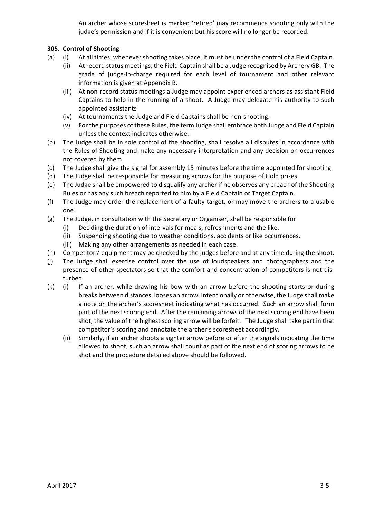An archer whose scoresheet is marked 'retired' may recommence shooting only with the judge's permission and if it is convenient but his score will no longer be recorded.

#### **305. Control of Shooting**

- (a) (i) At all times, whenever shooting takes place, it must be under the control of a Field Captain.
	- (ii) At record status meetings, the Field Captain shall be a Judge recognised by Archery GB. The grade of judge-in-charge required for each level of tournament and other relevant information is given at Appendix B.
	- (iii) At non-record status meetings a Judge may appoint experienced archers as assistant Field Captains to help in the running of a shoot. A Judge may delegate his authority to such appointed assistants
	- (iv) At tournaments the Judge and Field Captains shall be non-shooting.
	- (v) For the purposes of these Rules, the term Judge shall embrace both Judge and Field Captain unless the context indicates otherwise.
- (b) The Judge shall be in sole control of the shooting, shall resolve all disputes in accordance with the Rules of Shooting and make any necessary interpretation and any decision on occurrences not covered by them.
- $(c)$  The Judge shall give the signal for assembly 15 minutes before the time appointed for shooting.
- (d) The Judge shall be responsible for measuring arrows for the purpose of Gold prizes.
- (e) The Judge shall be empowered to disqualify any archer if he observes any breach of the Shooting Rules or has any such breach reported to him by a Field Captain or Target Captain.
- (f) The Judge may order the replacement of a faulty target, or may move the archers to a usable one.
- $(g)$  The Judge, in consultation with the Secretary or Organiser, shall be responsible for
	- (i) Deciding the duration of intervals for meals, refreshments and the like.
	- (ii) Suspending shooting due to weather conditions, accidents or like occurrences.
	- (iii) Making any other arrangements as needed in each case.
- (h) Competitors' equipment may be checked by the judges before and at any time during the shoot.
- $(i)$  The Judge shall exercise control over the use of loudspeakers and photographers and the presence of other spectators so that the comfort and concentration of competitors is not disturbed.
- (k) (i) If an archer, while drawing his bow with an arrow before the shooting starts or during breaks between distances, looses an arrow, intentionally or otherwise, the Judge shall make a note on the archer's scoresheet indicating what has occurred. Such an arrow shall form part of the next scoring end. After the remaining arrows of the next scoring end have been shot, the value of the highest scoring arrow will be forfeit. The Judge shall take part in that competitor's scoring and annotate the archer's scoresheet accordingly.
	- (ii) Similarly, if an archer shoots a sighter arrow before or after the signals indicating the time allowed to shoot, such an arrow shall count as part of the next end of scoring arrows to be shot and the procedure detailed above should be followed.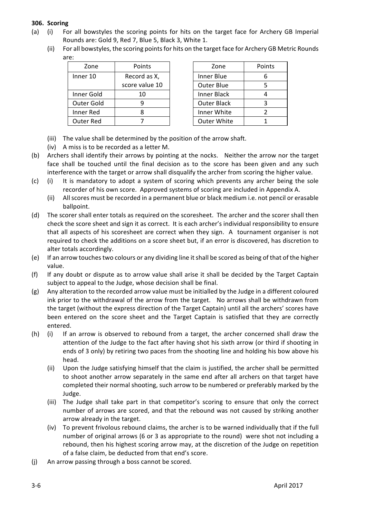#### **306. Scoring**

- (a) (i) For all bowstyles the scoring points for hits on the target face for Archery GB Imperial Rounds are: Gold 9, Red 7, Blue 5, Black 3, White 1.
	- (ii) For all bowstyles, the scoring points for hits on the target face for Archery GB Metric Rounds are:

| Zone       | Points         |  | Zone               | Points |
|------------|----------------|--|--------------------|--------|
| Inner 10   | Record as X,   |  |                    |        |
|            | score value 10 |  | Outer Blue         |        |
| Inner Gold |                |  | Inner Black        |        |
| Outer Gold |                |  | Outer Black        |        |
| Inner Red  |                |  | Inner White        |        |
| Outer Red  |                |  | <b>Outer White</b> |        |

| Zone        | Points |
|-------------|--------|
| Inner Blue  | հ      |
| Outer Blue  | 5      |
| Inner Black |        |
| Outer Black | ੨      |
| Inner White | 2      |
| Outer White |        |

- (iii) The value shall be determined by the position of the arrow shaft.
- (iv) A miss is to be recorded as a letter M.
- (b) Archers shall identify their arrows by pointing at the nocks. Neither the arrow nor the target face shall be touched until the final decision as to the score has been given and any such interference with the target or arrow shall disqualify the archer from scoring the higher value.
- (c) (i) It is mandatory to adopt a system of scoring which prevents any archer being the sole recorder of his own score. Approved systems of scoring are included in Appendix A.
	- (ii) All scores must be recorded in a permanent blue or black medium i.e. not pencil or erasable ballpoint.
- (d) The scorer shall enter totals as required on the scoresheet. The archer and the scorer shall then check the score sheet and sign it as correct. It is each archer's individual responsibility to ensure that all aspects of his scoresheet are correct when they sign. A tournament organiser is not required to check the additions on a score sheet but, if an error is discovered, has discretion to alter totals accordingly.
- (e) If an arrow touches two colours or any dividing line it shall be scored as being of that of the higher value.
- (f) If any doubt or dispute as to arrow value shall arise it shall be decided by the Target Captain subject to appeal to the Judge, whose decision shall be final.
- $(g)$  Any alteration to the recorded arrow value must be initialled by the Judge in a different coloured ink prior to the withdrawal of the arrow from the target. No arrows shall be withdrawn from the target (without the express direction of the Target Captain) until all the archers' scores have been entered on the score sheet and the Target Captain is satisfied that they are correctly entered.
- $(h)$  (i) If an arrow is observed to rebound from a target, the archer concerned shall draw the attention of the Judge to the fact after having shot his sixth arrow (or third if shooting in ends of 3 only) by retiring two paces from the shooting line and holding his bow above his head.
	- (ii) Upon the Judge satisfying himself that the claim is justified, the archer shall be permitted to shoot another arrow separately in the same end after all archers on that target have completed their normal shooting, such arrow to be numbered or preferably marked by the Judge.
	- (iii) The Judge shall take part in that competitor's scoring to ensure that only the correct number of arrows are scored, and that the rebound was not caused by striking another arrow already in the target.
	- (iv) To prevent frivolous rebound claims, the archer is to be warned individually that if the full number of original arrows (6 or 3 as appropriate to the round) were shot not including a rebound, then his highest scoring arrow may, at the discretion of the Judge on repetition of a false claim, be deducted from that end's score.
- (i) An arrow passing through a boss cannot be scored.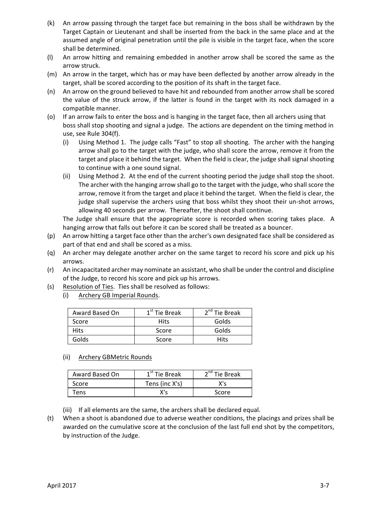- $(k)$  An arrow passing through the target face but remaining in the boss shall be withdrawn by the Target Captain or Lieutenant and shall be inserted from the back in the same place and at the assumed angle of original penetration until the pile is visible in the target face, when the score shall be determined.
- (I) An arrow hitting and remaining embedded in another arrow shall be scored the same as the arrow struck.
- (m) An arrow in the target, which has or may have been deflected by another arrow already in the target, shall be scored according to the position of its shaft in the target face.
- (n) An arrow on the ground believed to have hit and rebounded from another arrow shall be scored the value of the struck arrow, if the latter is found in the target with its nock damaged in a compatible manner.
- (o) If an arrow fails to enter the boss and is hanging in the target face, then all archers using that boss shall stop shooting and signal a judge. The actions are dependent on the timing method in use, see Rule 304(f).
	- (i) Using Method 1. The judge calls "Fast" to stop all shooting. The archer with the hanging arrow shall go to the target with the judge, who shall score the arrow, remove it from the target and place it behind the target. When the field is clear, the judge shall signal shooting to continue with a one sound signal.
	- (ii) Using Method 2. At the end of the current shooting period the judge shall stop the shoot. The archer with the hanging arrow shall go to the target with the judge, who shall score the arrow, remove it from the target and place it behind the target. When the field is clear, the judge shall supervise the archers using that boss whilst they shoot their un-shot arrows, allowing 40 seconds per arrow. Thereafter, the shoot shall continue.

The Judge shall ensure that the appropriate score is recorded when scoring takes place. A hanging arrow that falls out before it can be scored shall be treated as a bouncer.

- (p) An arrow hitting a target face other than the archer's own designated face shall be considered as part of that end and shall be scored as a miss.
- (q) An archer may delegate another archer on the same target to record his score and pick up his arrows.
- (r) An incapacitated archer may nominate an assistant, who shall be under the control and discipline of the Judge, to record his score and pick up his arrows.
- (s) Resolution of Ties. Ties shall be resolved as follows:
	- (i) Archery GB Imperial Rounds.

| Award Based On | $1st$ Tie Break | 2 <sup>nd</sup> Tie Break |
|----------------|-----------------|---------------------------|
| Score          | Hits            | Golds                     |
| <b>Hits</b>    | Score           | Golds                     |
| Golds          | Score           | Hits                      |

(ii) Archery GBMetric Rounds

| Award Based On | Tie Break      | ' <sup>""</sup> Tie Break |
|----------------|----------------|---------------------------|
| Score          | Tens (inc X's) | Y's                       |
| Tens           |                | Score                     |

(iii) If all elements are the same, the archers shall be declared equal.

(t) When a shoot is abandoned due to adverse weather conditions, the placings and prizes shall be awarded on the cumulative score at the conclusion of the last full end shot by the competitors, by instruction of the Judge.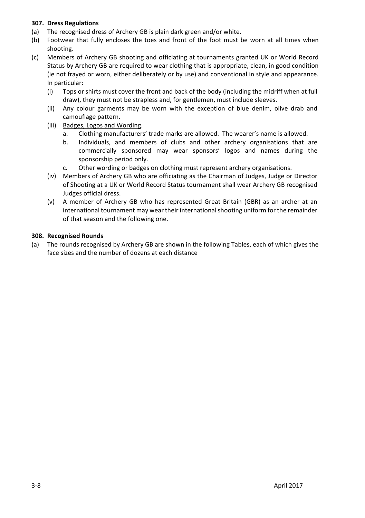#### **307. Dress Regulations**

- (a) The recognised dress of Archery GB is plain dark green and/or white.
- (b) Footwear that fully encloses the toes and front of the foot must be worn at all times when shooting.
- (c) Members of Archery GB shooting and officiating at tournaments granted UK or World Record Status by Archery GB are required to wear clothing that is appropriate, clean, in good condition (ie not frayed or worn, either deliberately or by use) and conventional in style and appearance. In particular:
	- $(i)$  Tops or shirts must cover the front and back of the body (including the midriff when at full draw), they must not be strapless and, for gentlemen, must include sleeves.
	- (ii) Any colour garments may be worn with the exception of blue denim, olive drab and camouflage pattern.
	- (iii) Badges, Logos and Wording.
		- a. Clothing manufacturers' trade marks are allowed. The wearer's name is allowed.
		- b. Individuals, and members of clubs and other archery organisations that are commercially sponsored may wear sponsors' logos and names during the sponsorship period only.
		- c. Other wording or badges on clothing must represent archery organisations.
	- (iv) Members of Archery GB who are officiating as the Chairman of Judges, Judge or Director of Shooting at a UK or World Record Status tournament shall wear Archery GB recognised Judges official dress.
	- (v) A member of Archery GB who has represented Great Britain (GBR) as an archer at an international tournament may wear their international shooting uniform for the remainder of that season and the following one.

#### **308. Recognised Rounds**

(a) The rounds recognised by Archery GB are shown in the following Tables, each of which gives the face sizes and the number of dozens at each distance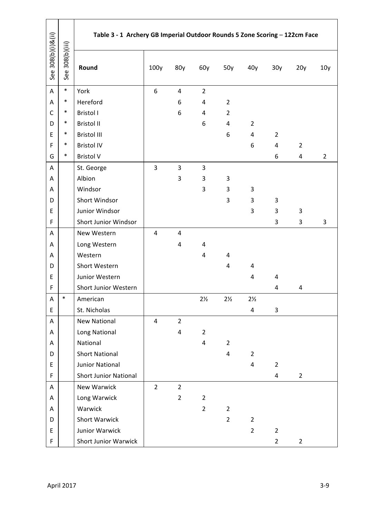|                    |                 | Table 3 - 1 Archery GB Imperial Outdoor Rounds 5 Zone Scoring - 122cm Face |                |                |                |                |                |                |                |         |
|--------------------|-----------------|----------------------------------------------------------------------------|----------------|----------------|----------------|----------------|----------------|----------------|----------------|---------|
| See 308(b)(i)&(ii) | See 308(b)(iii) | Round                                                                      | 100y           | 80y            | 60y            | 50y            | 40y            | 30y            | 20y            | 10y     |
| А                  | *               | York                                                                       | 6              | 4              | 2              |                |                |                |                |         |
| A                  | *               | Hereford                                                                   |                | 6              | 4              | $\overline{2}$ |                |                |                |         |
| С                  | *               | Bristol I                                                                  |                | 6              | 4              | $\overline{2}$ |                |                |                |         |
| D                  | *               | <b>Bristol II</b>                                                          |                |                | 6              | 4              | 2              |                |                |         |
| Ε                  | *               | <b>Bristol III</b>                                                         |                |                |                | 6              | 4              | 2              |                |         |
| F                  | *               | <b>Bristol IV</b>                                                          |                |                |                |                | 6              | 4              | $\overline{2}$ |         |
| G                  | $\ast$          | <b>Bristol V</b>                                                           |                |                |                |                |                | 6              | 4              | 2       |
| А                  |                 | St. George                                                                 | 3              | 3              | 3              |                |                |                |                |         |
| А                  |                 | Albion                                                                     |                | 3              | 3              | 3              |                |                |                |         |
| A                  |                 | Windsor                                                                    |                |                | 3              | 3              | 3              |                |                |         |
| D                  |                 | Short Windsor                                                              |                |                |                | 3              | 3              | 3              |                |         |
| Ε                  |                 | Junior Windsor                                                             |                |                |                |                | 3              | 3              | 3              |         |
| F                  |                 | Short Junior Windsor                                                       |                |                |                |                |                | 3              | 3              | 3       |
| А                  |                 | New Western                                                                | 4              | 4              |                |                |                |                |                |         |
| A                  |                 | Long Western                                                               |                | 4              | $\overline{4}$ |                |                |                |                |         |
| А                  |                 | Western                                                                    |                |                | 4              | 4              |                |                |                |         |
| D                  |                 | Short Western                                                              |                |                |                | 4              | 4              |                |                |         |
| Ε                  |                 | Junior Western                                                             |                |                |                |                | 4              | 4              |                |         |
| F                  |                 | Short Junior Western                                                       |                |                |                |                |                | 4              | 4              |         |
| A                  | *               | American                                                                   |                |                | $2\frac{1}{2}$ | $2\frac{1}{2}$ | $2\frac{1}{2}$ |                |                |         |
| Ε                  |                 | St. Nicholas                                                               |                |                |                |                | 4              | 3              |                |         |
| A                  |                 | <b>New National</b>                                                        | 4              | 2              |                |                |                |                |                |         |
| А                  |                 | Long National                                                              |                | 4              | $\overline{2}$ |                |                |                |                |         |
| A                  |                 | National                                                                   |                |                | 4              | $\overline{2}$ |                |                |                |         |
| D                  |                 | <b>Short National</b>                                                      |                |                |                | $\overline{4}$ | $\overline{2}$ |                |                |         |
| Ε                  |                 | <b>Junior National</b>                                                     |                |                |                |                | 4              | $\overline{2}$ |                |         |
| F                  |                 | <b>Short Junior National</b>                                               |                |                |                |                |                | 4              | $\overline{2}$ |         |
| А                  |                 | <b>New Warwick</b>                                                         | $\overline{2}$ | $\overline{2}$ |                |                |                |                |                |         |
| А                  |                 | Long Warwick                                                               |                | 2              | 2              |                |                |                |                |         |
| A                  |                 | Warwick                                                                    |                |                | 2              | 2              |                |                |                |         |
| D                  |                 | <b>Short Warwick</b>                                                       |                |                |                | 2              | 2              |                |                |         |
| Е                  |                 | Junior Warwick                                                             |                |                |                |                | 2              | 2              |                |         |
| F                  |                 | <b>Short Junior Warwick</b>                                                |                |                |                |                |                | $\overline{2}$ | 2              |         |
|                    | April 2017      |                                                                            |                |                |                |                |                |                |                | $3 - 9$ |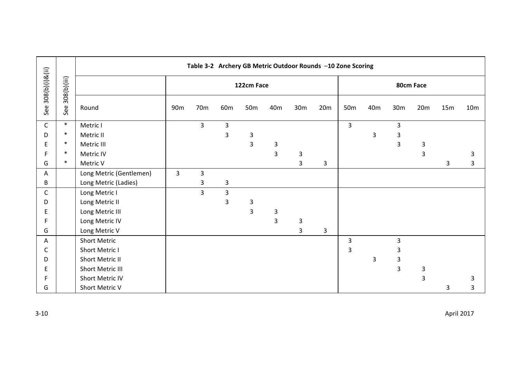|                |             |                         | Table 3-2 Archery GB Metric Outdoor Rounds -10 Zone Scoring |                 |                 |                 |     |     |                 |                 |                 |     |                 |            |                 |  |
|----------------|-------------|-------------------------|-------------------------------------------------------------|-----------------|-----------------|-----------------|-----|-----|-----------------|-----------------|-----------------|-----|-----------------|------------|-----------------|--|
| 308(b)(i)&(ii) | (iii)(d)808 |                         |                                                             |                 |                 | 122cm Face      |     |     | 80cm Face       |                 |                 |     |                 |            |                 |  |
| See            | See         | Round                   | 90 <sub>m</sub>                                             | 70 <sub>m</sub> | 60 <sub>m</sub> | 50 <sub>m</sub> | 40m | 30m | 20 <sub>m</sub> | 50 <sub>m</sub> | 40 <sub>m</sub> | 30m | 20 <sub>m</sub> | 15m        | 10 <sub>m</sub> |  |
| $\mathsf C$    | $\ast$      | Metric I                |                                                             | 3               | 3               |                 |     |     |                 | 3               |                 | 3   |                 |            |                 |  |
| D              | $\ast$      | Metric II               |                                                             |                 | 3               | 3               |     |     |                 |                 | 3               | 3   |                 |            |                 |  |
| E              | *           | Metric III              |                                                             |                 |                 | 3               | 3   |     |                 |                 |                 | 3   | 3               |            |                 |  |
|                | $\ast$      | Metric IV               |                                                             |                 |                 |                 | 3   | 3   |                 |                 |                 |     | 3               |            | 3               |  |
| G              | $\ast$      | Metric V                |                                                             |                 |                 |                 |     | 3   | 3               |                 |                 |     |                 | 3          | 3               |  |
| A              |             | Long Metric (Gentlemen) | 3                                                           | 3               |                 |                 |     |     |                 |                 |                 |     |                 |            |                 |  |
| B              |             | Long Metric (Ladies)    |                                                             | 3               | 3               |                 |     |     |                 |                 |                 |     |                 |            |                 |  |
| C              |             | Long Metric I           |                                                             | 3               | 3               |                 |     |     |                 |                 |                 |     |                 |            |                 |  |
| D              |             | Long Metric II          |                                                             |                 | 3               | 3               |     |     |                 |                 |                 |     |                 |            |                 |  |
| Ε              |             | Long Metric III         |                                                             |                 |                 | 3               | 3   |     |                 |                 |                 |     |                 |            |                 |  |
| F              |             | Long Metric IV          |                                                             |                 |                 |                 | 3   | 3   |                 |                 |                 |     |                 |            |                 |  |
| G              |             | Long Metric V           |                                                             |                 |                 |                 |     | 3   | 3               |                 |                 |     |                 |            |                 |  |
| $\mathsf{A}$   |             | <b>Short Metric</b>     |                                                             |                 |                 |                 |     |     |                 | 3               |                 | 3   |                 |            |                 |  |
| C              |             | <b>Short Metric I</b>   |                                                             |                 |                 |                 |     |     |                 | 3               |                 | 3   |                 |            |                 |  |
| D              |             | <b>Short Metric II</b>  |                                                             |                 |                 |                 |     |     |                 |                 | 3               | 3   |                 |            |                 |  |
| E              |             | Short Metric III        |                                                             |                 |                 |                 |     |     |                 |                 |                 | 3   | 3               |            |                 |  |
| F              |             | <b>Short Metric IV</b>  |                                                             |                 |                 |                 |     |     |                 |                 |                 |     | 3               |            | 3               |  |
| G              |             | Short Metric V          |                                                             |                 |                 |                 |     |     |                 |                 |                 |     |                 | 3          | 3               |  |
|                |             |                         |                                                             |                 |                 |                 |     |     |                 |                 |                 |     |                 |            |                 |  |
| $3 - 10$       |             |                         |                                                             |                 |                 |                 |     |     |                 |                 |                 |     |                 | April 2017 |                 |  |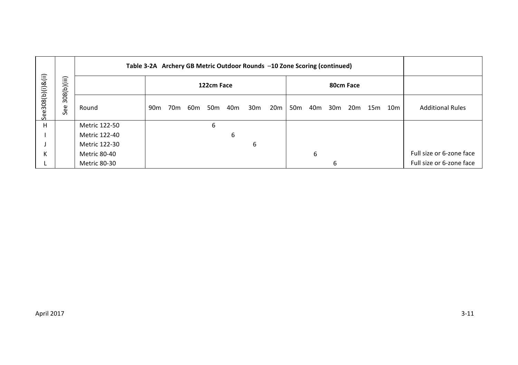|                   | Table 3-2A Archery GB Metric Outdoor Rounds -10 Zone Scoring (continued) |                         |                 |                 |     |                 |                 |                 |     |                 |     |     |             |                          |
|-------------------|--------------------------------------------------------------------------|-------------------------|-----------------|-----------------|-----|-----------------|-----------------|-----------------|-----|-----------------|-----|-----|-------------|--------------------------|
|                   | 308(b)(iii)                                                              | 122cm Face<br>80cm Face |                 |                 |     |                 |                 |                 |     |                 |     |     |             |                          |
| See308(b)(i)&(ii) | See                                                                      | Round                   | 90 <sub>m</sub> | 70 <sub>m</sub> | 60m | 50 <sub>m</sub> | 40 <sub>m</sub> | 30 <sub>m</sub> | 20m | 50 <sub>m</sub> | 40m | 30m | 20m 15m 10m | <b>Additional Rules</b>  |
| н                 |                                                                          | Metric 122-50           |                 |                 |     | 6               |                 |                 |     |                 |     |     |             |                          |
|                   |                                                                          | Metric 122-40           |                 |                 |     |                 | 6               |                 |     |                 |     |     |             |                          |
| J                 |                                                                          | Metric 122-30           |                 |                 |     |                 |                 | 6               |     |                 |     |     |             |                          |
| К                 |                                                                          | Metric 80-40            |                 |                 |     |                 |                 |                 |     |                 | 6   |     |             | Full size or 6-zone face |
| L                 |                                                                          | Metric 80-30            |                 |                 |     |                 |                 |                 |     |                 |     | 6   |             | Full size or 6-zone face |
|                   |                                                                          |                         |                 |                 |     |                 |                 |                 |     |                 |     |     |             |                          |
| April 2017        |                                                                          |                         |                 |                 |     |                 |                 |                 |     |                 |     |     |             | $3 - 11$                 |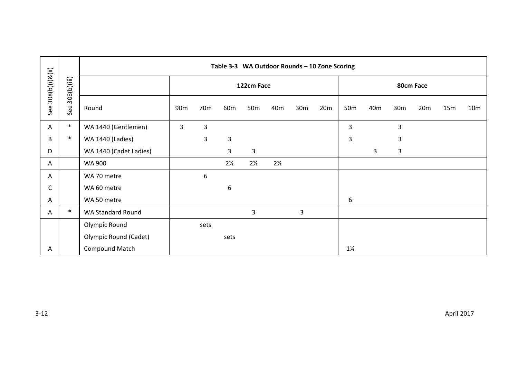|                    | 308(b)(iii)<br>See | Table 3-3 WA Outdoor Rounds - 10 Zone Scoring |                 |                 |                 |                 |                |     |     |                 |                 |           |     |            |                 |  |  |  |
|--------------------|--------------------|-----------------------------------------------|-----------------|-----------------|-----------------|-----------------|----------------|-----|-----|-----------------|-----------------|-----------|-----|------------|-----------------|--|--|--|
|                    |                    |                                               |                 | 122cm Face      |                 |                 |                |     |     |                 |                 | 80cm Face |     |            |                 |  |  |  |
| See 308(b)(i)&(ii) |                    | Round                                         | 90 <sub>m</sub> | 70 <sub>m</sub> | 60 <sub>m</sub> | 50 <sub>m</sub> | 40m            | 30m | 20m | 50 <sub>m</sub> | 40 <sub>m</sub> | 30m       | 20m | 15m        | 10 <sub>m</sub> |  |  |  |
| A                  | $\ast$             | WA 1440 (Gentlemen)                           | 3               | 3               |                 |                 |                |     |     | 3               |                 | 3         |     |            |                 |  |  |  |
| B                  | $\ast$             | <b>WA 1440 (Ladies)</b>                       |                 | 3               | 3               |                 |                |     |     | 3               |                 | 3         |     |            |                 |  |  |  |
| D                  |                    | WA 1440 (Cadet Ladies)                        |                 |                 | 3               | 3               |                |     |     |                 | 3               | 3         |     |            |                 |  |  |  |
| A                  |                    | WA 900                                        |                 |                 | $2\frac{1}{2}$  | $2\frac{1}{2}$  | $2\frac{1}{2}$ |     |     |                 |                 |           |     |            |                 |  |  |  |
| Α                  |                    | WA 70 metre                                   |                 | 6               |                 |                 |                |     |     |                 |                 |           |     |            |                 |  |  |  |
| C                  |                    | WA 60 metre                                   |                 |                 | 6               |                 |                |     |     |                 |                 |           |     |            |                 |  |  |  |
| A                  |                    | WA 50 metre                                   |                 |                 |                 |                 |                |     |     | 6               |                 |           |     |            |                 |  |  |  |
| A                  | $\ast$             | <b>WA Standard Round</b>                      |                 |                 |                 | 3               |                | 3   |     |                 |                 |           |     |            |                 |  |  |  |
|                    |                    | Olympic Round                                 |                 | sets            |                 |                 |                |     |     |                 |                 |           |     |            |                 |  |  |  |
|                    |                    | Olympic Round (Cadet)                         |                 |                 | sets            |                 |                |     |     |                 |                 |           |     |            |                 |  |  |  |
| Α                  |                    | Compound Match                                |                 |                 |                 |                 |                |     |     | $1\frac{1}{4}$  |                 |           |     |            |                 |  |  |  |
|                    |                    |                                               |                 |                 |                 |                 |                |     |     |                 |                 |           |     |            |                 |  |  |  |
|                    |                    |                                               |                 |                 |                 |                 |                |     |     |                 |                 |           |     |            |                 |  |  |  |
|                    |                    |                                               |                 |                 |                 |                 |                |     |     |                 |                 |           |     |            |                 |  |  |  |
|                    |                    |                                               |                 |                 |                 |                 |                |     |     |                 |                 |           |     |            |                 |  |  |  |
| $3-12$             |                    |                                               |                 |                 |                 |                 |                |     |     |                 |                 |           |     | April 2017 |                 |  |  |  |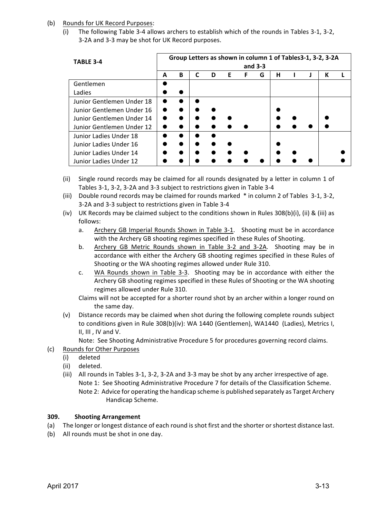- (b) Rounds for UK Record Purposes:
	- (i) The following Table 3-4 allows archers to establish which of the rounds in Tables 3-1, 3-2, 3-2A and 3-3 may be shot for UK Record purposes.

| TABLE 3-4                 |   |   |   |   | and $3-3$ |   |  | Group Letters as shown in column 1 of Tables 3-1, 3-2, 3-2A |  |
|---------------------------|---|---|---|---|-----------|---|--|-------------------------------------------------------------|--|
|                           | A | В | D | Е | G         | н |  | к                                                           |  |
| Gentlemen                 |   |   |   |   |           |   |  |                                                             |  |
| Ladies                    |   |   |   |   |           |   |  |                                                             |  |
| Junior Gentlemen Under 18 |   |   |   |   |           |   |  |                                                             |  |
| Junior Gentlemen Under 16 |   |   |   |   |           |   |  |                                                             |  |
| Junior Gentlemen Under 14 |   |   |   |   |           |   |  |                                                             |  |
| Junior Gentlemen Under 12 |   |   |   |   |           |   |  |                                                             |  |
| Junior Ladies Under 18    |   |   |   |   |           |   |  |                                                             |  |
| Junior Ladies Under 16    |   |   |   |   |           |   |  |                                                             |  |
| Junior Ladies Under 14    |   |   |   |   |           |   |  |                                                             |  |
| Junior Ladies Under 12    |   |   |   |   |           |   |  |                                                             |  |

(ii) Single round records may be claimed for all rounds designated by a letter in column 1 of Tables 3-1, 3-2, 3-2A and 3-3 subject to restrictions given in Table 3-4

- (iii) Double round records may be claimed for rounds marked  $*$  in column 2 of Tables 3-1, 3-2, 3-2A and 3-3 subject to restrictions given in Table 3-4
- (iv) UK Records may be claimed subject to the conditions shown in Rules  $308(b)(i)$ , (ii) & (iii) as follows:
	- a. Archery GB Imperial Rounds Shown in Table 3-1. Shooting must be in accordance with the Archery GB shooting regimes specified in these Rules of Shooting.
	- b. Archery GB Metric Rounds shown in Table 3-2 and 3-2A. Shooting may be in accordance with either the Archery GB shooting regimes specified in these Rules of Shooting or the WA shooting regimes allowed under Rule 310.
	- c. WA Rounds shown in Table 3-3. Shooting may be in accordance with either the Archery GB shooting regimes specified in these Rules of Shooting or the WA shooting regimes allowed under Rule 310.

Claims will not be accepted for a shorter round shot by an archer within a longer round on the same day.

(v) Distance records may be claimed when shot during the following complete rounds subject to conditions given in Rule 308(b)(iv): WA 1440 (Gentlemen), WA1440 (Ladies), Metrics I, II, III, IV and V.

Note: See Shooting Administrative Procedure 5 for procedures governing record claims.

- (c) Rounds for Other Purposes
	- (i) deleted
	- (ii) deleted.
	- (iii) All rounds in Tables  $3-1$ ,  $3-2$ ,  $3-2A$  and  $3-3$  may be shot by any archer irrespective of age. Note 1: See Shooting Administrative Procedure 7 for details of the Classification Scheme. Note 2: Advice for operating the handicap scheme is published separately as Target Archery Handicap Scheme.

#### **309. Shooting Arrangement**

- (a) The longer or longest distance of each round is shot first and the shorter or shortest distance last.
- (b) All rounds must be shot in one day.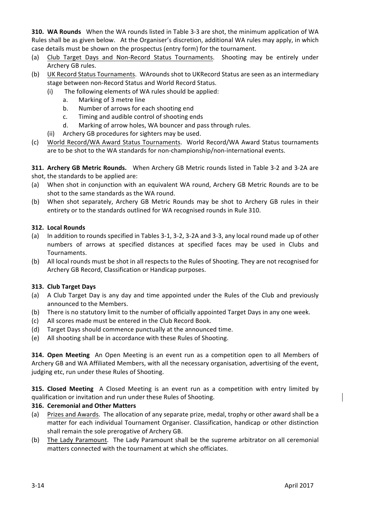**310. WA Rounds** When the WA rounds listed in Table 3-3 are shot, the minimum application of WA Rules shall be as given below. At the Organiser's discretion, additional WA rules may apply, in which case details must be shown on the prospectus (entry form) for the tournament.

- (a) Club Target Days and Non-Record Status Tournaments. Shooting may be entirely under Archery GB rules.
- (b) UK Record Status Tournaments. WArounds shot to UKRecord Status are seen as an intermediary stage between non-Record Status and World Record Status.
	- (i) The following elements of WA rules should be applied:
		- a. Marking of 3 metre line
		- b. Number of arrows for each shooting end
		- c. Timing and audible control of shooting ends
		- d. Marking of arrow holes, WA bouncer and pass through rules.
	- (ii) Archery GB procedures for sighters may be used.
- (c) World Record/WA Award Status Tournaments. World Record/WA Award Status tournaments are to be shot to the WA standards for non-championship/non-international events.

**311. Archery GB Metric Rounds.** When Archery GB Metric rounds listed in Table 3-2 and 3-2A are shot, the standards to be applied are:

- (a) When shot in conjunction with an equivalent WA round, Archery GB Metric Rounds are to be shot to the same standards as the WA round.
- (b) When shot separately, Archery GB Metric Rounds may be shot to Archery GB rules in their entirety or to the standards outlined for WA recognised rounds in Rule 310.

#### **312. Local Rounds**

- (a) In addition to rounds specified in Tables 3-1, 3-2, 3-2A and 3-3, any local round made up of other numbers of arrows at specified distances at specified faces may be used in Clubs and Tournaments.
- (b) All local rounds must be shot in all respects to the Rules of Shooting. They are not recognised for Archery GB Record, Classification or Handicap purposes.

#### **313. Club Target Days**

- (a) A Club Target Day is any day and time appointed under the Rules of the Club and previously announced to the Members.
- (b) There is no statutory limit to the number of officially appointed Target Days in any one week.
- (c) All scores made must be entered in the Club Record Book.
- (d) Target Days should commence punctually at the announced time.
- (e) All shooting shall be in accordance with these Rules of Shooting.

**314. Open Meeting** An Open Meeting is an event run as a competition open to all Members of Archery GB and WA Affiliated Members, with all the necessary organisation, advertising of the event, judging etc, run under these Rules of Shooting.

**315. Closed Meeting** A Closed Meeting is an event run as a competition with entry limited by qualification or invitation and run under these Rules of Shooting.

#### **316. Ceremonial and Other Matters**

- (a) Prizes and Awards. The allocation of any separate prize, medal, trophy or other award shall be a matter for each individual Tournament Organiser. Classification, handicap or other distinction shall remain the sole prerogative of Archery GB.
- (b) The Lady Paramount. The Lady Paramount shall be the supreme arbitrator on all ceremonial matters connected with the tournament at which she officiates.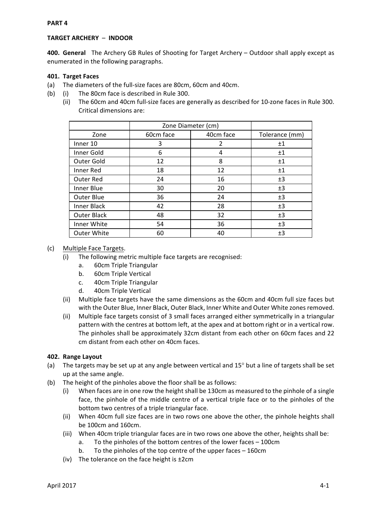#### **TARGET ARCHERY** – **INDOOR**

**400. General** The Archery GB Rules of Shooting for Target Archery – Outdoor shall apply except as enumerated in the following paragraphs.

#### **401. Target Faces**

- (a) The diameters of the full-size faces are 80cm, 60cm and 40cm.
- (b) (i) The 80cm face is described in Rule 300.
	- (ii) The 60cm and 40cm full-size faces are generally as described for 10-zone faces in Rule 300. Critical dimensions are:

|                    | Zone Diameter (cm) |           |                |
|--------------------|--------------------|-----------|----------------|
| Zone               | 60cm face          | 40cm face | Tolerance (mm) |
| Inner 10           | 3                  | 2         | ±1             |
| Inner Gold         | 6                  | 4         | ±1             |
| Outer Gold         | 12                 | 8         | ±1             |
| Inner Red          | 18                 | 12        | ±1             |
| <b>Outer Red</b>   | 24                 | 16        | ±3             |
| Inner Blue         | 30                 | 20        | ±3             |
| Outer Blue         | 36                 | 24        | ±3             |
| Inner Black        | 42                 | 28        | ±3             |
| <b>Outer Black</b> | 48                 | 32        | ±3             |
| Inner White        | 54                 | 36        | ±3             |
| <b>Outer White</b> | 60                 | 40        | ±3             |

#### (c) Multiple Face Targets.

- (i) The following metric multiple face targets are recognised:
	- a. 60cm Triple Triangular
	- b. 60cm Triple Vertical
	- c. 40cm Triple Triangular
	- d. 40cm Triple Vertical
- (ii) Multiple face targets have the same dimensions as the 60cm and 40cm full size faces but with the Outer Blue, Inner Black, Outer Black, Inner White and Outer White zones removed.
- (ii) Multiple face targets consist of 3 small faces arranged either symmetrically in a triangular pattern with the centres at bottom left, at the apex and at bottom right or in a vertical row. The pinholes shall be approximately  $32$ cm distant from each other on 60cm faces and 22 cm distant from each other on 40cm faces.

#### **402. Range Layout**

- (a) The targets may be set up at any angle between vertical and  $15^{\circ}$  but a line of targets shall be set up at the same angle.
- (b) The height of the pinholes above the floor shall be as follows:
	- (i) When faces are in one row the height shall be 130cm as measured to the pinhole of a single face, the pinhole of the middle centre of a vertical triple face or to the pinholes of the bottom two centres of a triple triangular face.
	- (ii) When 40cm full size faces are in two rows one above the other, the pinhole heights shall be 100cm and 160cm.
	- (iii) When 40cm triple triangular faces are in two rows one above the other, heights shall be:
		- a. To the pinholes of the bottom centres of the lower faces 100cm
		- b. To the pinholes of the top centre of the upper faces  $-160$ cm
	- (iv) The tolerance on the face height is  $\pm 2$ cm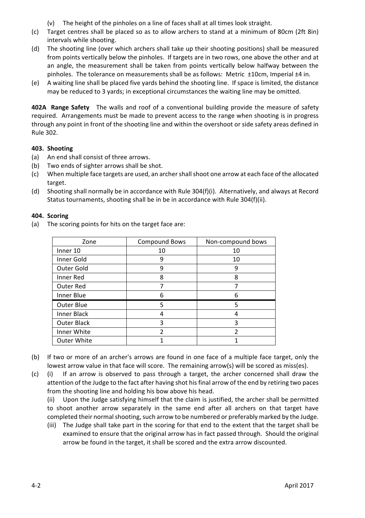- (v) The height of the pinholes on a line of faces shall at all times look straight.
- (c) Target centres shall be placed so as to allow archers to stand at a minimum of 80cm (2ft 8in) intervals while shooting.
- (d) The shooting line (over which archers shall take up their shooting positions) shall be measured from points vertically below the pinholes. If targets are in two rows, one above the other and at an angle, the measurement shall be taken from points vertically below halfway between the pinholes. The tolerance on measurements shall be as follows: Metric ±10cm, Imperial ±4 in.
- (e) A waiting line shall be placed five vards behind the shooting line. If space is limited, the distance may be reduced to 3 yards; in exceptional circumstances the waiting line may be omitted.

**402A** Range Safety The walls and roof of a conventional building provide the measure of safety required. Arrangements must be made to prevent access to the range when shooting is in progress through any point in front of the shooting line and within the overshoot or side safety areas defined in Rule 302.

# **403. Shooting**

- (a) An end shall consist of three arrows.
- (b) Two ends of sighter arrows shall be shot.
- (c) When multiple face targets are used, an archer shall shoot one arrow at each face of the allocated target.
- (d) Shooting shall normally be in accordance with Rule  $304(f)(i)$ . Alternatively, and always at Record Status tournaments, shooting shall be in be in accordance with Rule  $304(f)(ii)$ .

# **404. Scoring**

(a) The scoring points for hits on the target face are:

| Zone               | <b>Compound Bows</b> | Non-compound bows       |
|--------------------|----------------------|-------------------------|
| Inner 10           | 10                   | 10                      |
| Inner Gold         | 9                    | 10                      |
| Outer Gold         | 9                    | 9                       |
| <b>Inner Red</b>   | 8                    | 8                       |
| Outer Red          |                      |                         |
| Inner Blue         | 6                    | 6                       |
| Outer Blue         | 5                    | 5                       |
| <b>Inner Black</b> |                      |                         |
| <b>Outer Black</b> | 3                    | $\overline{\mathbf{a}}$ |
| Inner White        | 2                    | ว                       |
| <b>Outer White</b> |                      |                         |

- (b) If two or more of an archer's arrows are found in one face of a multiple face target, only the lowest arrow value in that face will score. The remaining arrow(s) will be scored as miss(es).
- (c) (i) If an arrow is observed to pass through a target, the archer concerned shall draw the attention of the Judge to the fact after having shot his final arrow of the end by retiring two paces from the shooting line and holding his bow above his head.
	- (ii) Upon the Judge satisfying himself that the claim is justified, the archer shall be permitted to shoot another arrow separately in the same end after all archers on that target have completed their normal shooting, such arrow to be numbered or preferably marked by the Judge.
	- (iii) The Judge shall take part in the scoring for that end to the extent that the target shall be examined to ensure that the original arrow has in fact passed through. Should the original arrow be found in the target, it shall be scored and the extra arrow discounted.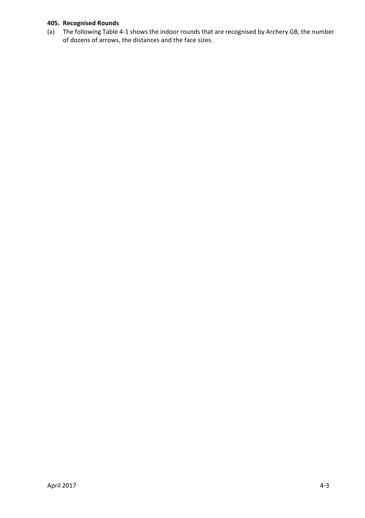#### **405. Recognised Rounds**

(a) The following Table 4-1 shows the indoor rounds that are recognised by Archery GB, the number of dozens of arrows, the distances and the face sizes.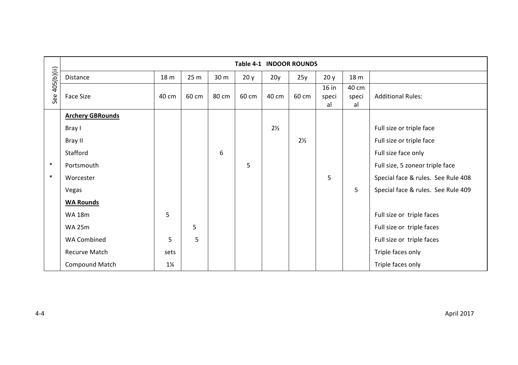|            | Table 4-1 INDOOR ROUNDS |                |                 |       |       |                |                |                      |                      |                                    |  |  |
|------------|-------------------------|----------------|-----------------|-------|-------|----------------|----------------|----------------------|----------------------|------------------------------------|--|--|
| 405(b)(ii) | <b>Distance</b>         | 18 m           | 25 <sub>m</sub> | 30 m  | 20y   | 20y            | 25y            | 20y                  | 18 <sub>m</sub>      |                                    |  |  |
| See        | Face Size               | 40 cm          | 60 cm           | 80 cm | 60 cm | 40 cm          | 60 cm          | 16 in<br>speci<br>al | 40 cm<br>speci<br>al | <b>Additional Rules:</b>           |  |  |
|            | <b>Archery GBRounds</b> |                |                 |       |       |                |                |                      |                      |                                    |  |  |
|            | Bray I                  |                |                 |       |       | $2\frac{1}{2}$ |                |                      |                      | Full size or triple face           |  |  |
|            | Bray II                 |                |                 |       |       |                | $2\frac{1}{2}$ |                      |                      | Full size or triple face           |  |  |
|            | Stafford                |                |                 | 6     |       |                |                |                      |                      | Full size face only                |  |  |
| $\ast$     | Portsmouth              |                |                 |       | 5     |                |                |                      |                      | Full size, 5 zoneor triple face    |  |  |
| $\ast$     | Worcester               |                |                 |       |       |                |                | 5                    |                      | Special face & rules. See Rule 408 |  |  |
|            | Vegas                   |                |                 |       |       |                |                |                      | 5                    | Special face & rules. See Rule 409 |  |  |
|            | <b>WA Rounds</b>        |                |                 |       |       |                |                |                      |                      |                                    |  |  |
|            | <b>WA18m</b>            | 5              |                 |       |       |                |                |                      |                      | Full size or triple faces          |  |  |
|            | <b>WA 25m</b>           |                | 5               |       |       |                |                |                      |                      | Full size or triple faces          |  |  |
|            | <b>WA Combined</b>      | 5              | 5               |       |       |                |                |                      |                      | Full size or triple faces          |  |  |
|            | <b>Recurve Match</b>    | sets           |                 |       |       |                |                |                      |                      | Triple faces only                  |  |  |
|            | Compound Match          | $1\frac{1}{4}$ |                 |       |       |                |                |                      |                      | Triple faces only                  |  |  |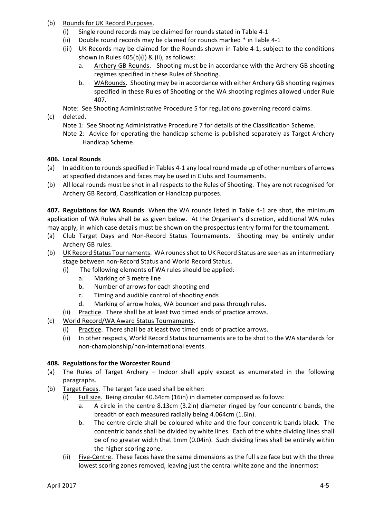- (b) Rounds for UK Record Purposes.
	- (i) Single round records may be claimed for rounds stated in Table 4-1
	- (ii) Double round records may be claimed for rounds marked  $*$  in Table 4-1
	- (iii) UK Records may be claimed for the Rounds shown in Table 4-1, subject to the conditions shown in Rules 405(b)(i) & (ii), as follows:
		- a. Archery GB Rounds. Shooting must be in accordance with the Archery GB shooting regimes specified in these Rules of Shooting.
		- b. WARounds. Shooting may be in accordance with either Archery GB shooting regimes specified in these Rules of Shooting or the WA shooting regimes allowed under Rule 407.

Note: See Shooting Administrative Procedure 5 for regulations governing record claims.

- (c) deleted.
	- Note 1: See Shooting Administrative Procedure 7 for details of the Classification Scheme.
	- Note 2: Advice for operating the handicap scheme is published separately as Target Archery Handicap Scheme.

## **406. Local Rounds**

- (a) In addition to rounds specified in Tables 4-1 any local round made up of other numbers of arrows at specified distances and faces may be used in Clubs and Tournaments.
- (b) All local rounds must be shot in all respects to the Rules of Shooting. They are not recognised for Archery GB Record, Classification or Handicap purposes.

**407. Regulations for WA Rounds** When the WA rounds listed in Table 4-1 are shot, the minimum application of WA Rules shall be as given below. At the Organiser's discretion, additional WA rules may apply, in which case details must be shown on the prospectus (entry form) for the tournament.

- (a) Club Target Days and Non-Record Status Tournaments. Shooting may be entirely under Archery GB rules.
- (b) UK Record Status Tournaments. WA rounds shot to UK Record Status are seen as an intermediary stage between non-Record Status and World Record Status.
	- $(i)$  The following elements of WA rules should be applied:
		- a. Marking of 3 metre line
		- b. Number of arrows for each shooting end
		- c. Timing and audible control of shooting ends
		- d. Marking of arrow holes, WA bouncer and pass through rules.
	- (ii) Practice. There shall be at least two timed ends of practice arrows.
- (c) World Record/WA Award Status Tournaments.
	- (i) Practice. There shall be at least two timed ends of practice arrows.
	- (ii) In other respects, World Record Status tournaments are to be shot to the WA standards for non-championship/non-international events.

## **408. Regulations for the Worcester Round**

- (a) The Rules of Target Archery Indoor shall apply except as enumerated in the following paragraphs.
- (b) Target Faces. The target face used shall be either:
	- (i) Full size. Being circular 40.64cm (16in) in diameter composed as follows:
		- a. A circle in the centre 8.13cm (3.2in) diameter ringed by four concentric bands, the breadth of each measured radially being 4.064cm (1.6in).
		- b. The centre circle shall be coloured white and the four concentric bands black. The concentric bands shall be divided by white lines. Each of the white dividing lines shall be of no greater width that 1mm (0.04in). Such dividing lines shall be entirely within the higher scoring zone.
	- (ii) Five-Centre. These faces have the same dimensions as the full size face but with the three lowest scoring zones removed, leaving just the central white zone and the innermost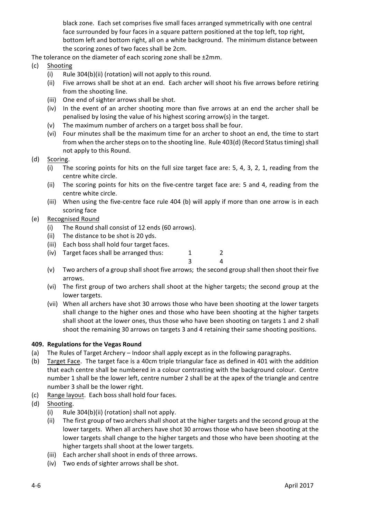black zone. Each set comprises five small faces arranged symmetrically with one central face surrounded by four faces in a square pattern positioned at the top left, top right, bottom left and bottom right, all on a white background. The minimum distance between the scoring zones of two faces shall be 2cm.

The tolerance on the diameter of each scoring zone shall be  $\pm 2$ mm.

- (c) Shooting
	- (i) Rule  $304(b)(ii)$  (rotation) will not apply to this round.
	- (ii) Five arrows shall be shot at an end. Each archer will shoot his five arrows before retiring from the shooting line.
	- (iii) One end of sighter arrows shall be shot.
	- (iv) In the event of an archer shooting more than five arrows at an end the archer shall be penalised by losing the value of his highest scoring arrow(s) in the target.
	- (v) The maximum number of archers on a target boss shall be four.
	- (vi) Four minutes shall be the maximum time for an archer to shoot an end, the time to start from when the archer steps on to the shooting line. Rule 403(d) (Record Status timing) shall not apply to this Round.
- (d) Scoring.
	- (i) The scoring points for hits on the full size target face are:  $5, 4, 3, 2, 1$ , reading from the centre white circle.
	- (ii) The scoring points for hits on the five-centre target face are:  $5$  and  $4$ , reading from the centre white circle.
	- (iii) When using the five-centre face rule  $404$  (b) will apply if more than one arrow is in each scoring face

## (e) Recognised Round

- (i) The Round shall consist of 12 ends (60 arrows).
- (ii) The distance to be shot is 20 yds.
- (iii) Each boss shall hold four target faces.
- (iv) Target faces shall be arranged thus: 1 2
- (v) Two archers of a group shall shoot five arrows; the second group shall then shoot their five arrows.

3 4

- (vi) The first group of two archers shall shoot at the higher targets; the second group at the lower targets.
- (vii) When all archers have shot 30 arrows those who have been shooting at the lower targets shall change to the higher ones and those who have been shooting at the higher targets shall shoot at the lower ones, thus those who have been shooting on targets 1 and 2 shall shoot the remaining 30 arrows on targets 3 and 4 retaining their same shooting positions.

## **409. Regulations for the Vegas Round**

- (a) The Rules of Target Archery Indoor shall apply except as in the following paragraphs.
- (b) Target Face. The target face is a 40cm triple triangular face as defined in 401 with the addition that each centre shall be numbered in a colour contrasting with the background colour. Centre number 1 shall be the lower left, centre number 2 shall be at the apex of the triangle and centre number 3 shall be the lower right.
- (c) Range layout. Each boss shall hold four faces.
- (d) Shooting.
	- (i) Rule  $304(b)(ii)$  (rotation) shall not apply.
	- (ii) The first group of two archers shall shoot at the higher targets and the second group at the lower targets. When all archers have shot 30 arrows those who have been shooting at the lower targets shall change to the higher targets and those who have been shooting at the higher targets shall shoot at the lower targets.
	- (iii) Each archer shall shoot in ends of three arrows.
	- (iv) Two ends of sighter arrows shall be shot.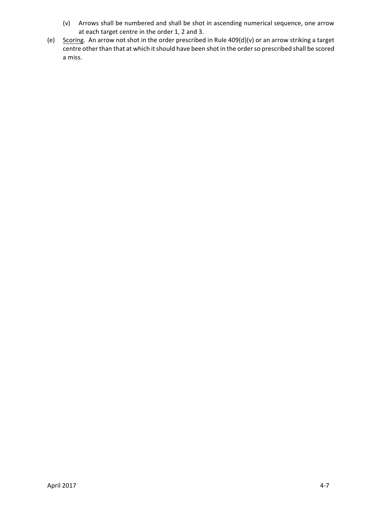- (v) Arrows shall be numbered and shall be shot in ascending numerical sequence, one arrow at each target centre in the order 1, 2 and 3.
- (e) Scoring. An arrow not shot in the order prescribed in Rule  $409(d)(v)$  or an arrow striking a target centre other than that at which it should have been shot in the order so prescribed shall be scored a miss.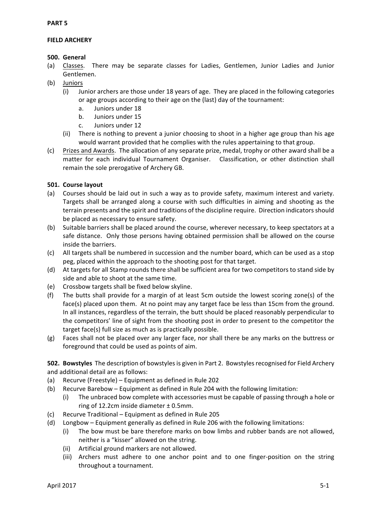## **FIELD ARCHERY**

#### **500. General**

- (a) Classes. There may be separate classes for Ladies, Gentlemen, Junior Ladies and Junior Gentlemen.
- (b) Juniors
	- (i) Junior archers are those under 18 years of age. They are placed in the following categories or age groups according to their age on the (last) day of the tournament:
		- a. Juniors under 18
		- b. Juniors under 15
		- c. Juniors under 12
	- (ii) There is nothing to prevent a junior choosing to shoot in a higher age group than his age would warrant provided that he complies with the rules appertaining to that group.
- (c) Prizes and Awards. The allocation of any separate prize, medal, trophy or other award shall be a matter for each individual Tournament Organiser. Classification, or other distinction shall remain the sole prerogative of Archery GB.

## **501. Course layout**

- (a) Courses should be laid out in such a way as to provide safety, maximum interest and variety. Targets shall be arranged along a course with such difficulties in aiming and shooting as the terrain presents and the spirit and traditions of the discipline require. Direction indicators should be placed as necessary to ensure safety.
- (b) Suitable barriers shall be placed around the course, wherever necessary, to keep spectators at a safe distance. Only those persons having obtained permission shall be allowed on the course inside the barriers.
- (c) All targets shall be numbered in succession and the number board, which can be used as a stop peg, placed within the approach to the shooting post for that target.
- (d) At targets for all Stamp rounds there shall be sufficient area for two competitors to stand side by side and able to shoot at the same time.
- (e) Crossbow targets shall be fixed below skyline.
- (f) The butts shall provide for a margin of at least 5cm outside the lowest scoring zone(s) of the face(s) placed upon them. At no point may any target face be less than 15cm from the ground. In all instances, regardless of the terrain, the butt should be placed reasonably perpendicular to the competitors' line of sight from the shooting post in order to present to the competitor the target face(s) full size as much as is practically possible.
- $(g)$  Faces shall not be placed over any larger face, nor shall there be any marks on the buttress or foreground that could be used as points of aim.

**502. Bowstyles** The description of bowstyles is given in Part 2. Bowstyles recognised for Field Archery and additional detail are as follows:

- (a) Recurve (Freestyle) Equipment as defined in Rule 202
- (b) Recurve Barebow Equipment as defined in Rule 204 with the following limitation:
	- (i) The unbraced bow complete with accessories must be capable of passing through a hole or ring of 12.2cm inside diameter  $\pm$  0.5mm.
- (c) Recurve Traditional Equipment as defined in Rule 205
- (d) Longbow Equipment generally as defined in Rule 206 with the following limitations:
	- (i) The bow must be bare therefore marks on bow limbs and rubber bands are not allowed, neither is a "kisser" allowed on the string.
	- (ii) Artificial ground markers are not allowed.
	- (iii) Archers must adhere to one anchor point and to one finger-position on the string throughout a tournament.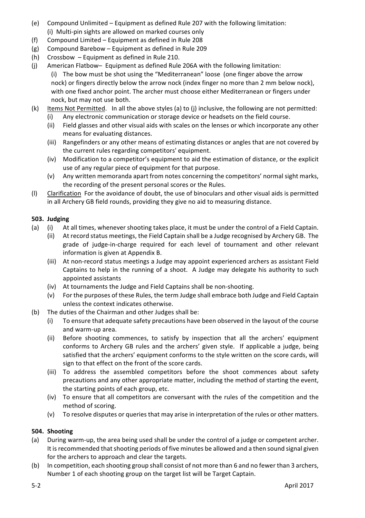- (e) Compound Unlimited Equipment as defined Rule 207 with the following limitation: (i) Multi-pin sights are allowed on marked courses only
- (f) Compound Limited Equipment as defined in Rule 208
- $(g)$  Compound Barebow Equipment as defined in Rule 209
- $(h)$  Crossbow Equipment as defined in Rule 210.
- (i) American Flatbow– Equipment as defined Rule 206A with the following limitation: (i) The bow must be shot using the "Mediterranean" loose (one finger above the arrow nock) or fingers directly below the arrow nock (index finger no more than 2 mm below nock). with one fixed anchor point. The archer must choose either Mediterranean or fingers under nock, but may not use both.
- $(k)$  Items Not Permitted. In all the above styles (a) to (i) inclusive, the following are not permitted:
	- (i) Any electronic communication or storage device or headsets on the field course.
	- (ii) Field glasses and other visual aids with scales on the lenses or which incorporate any other means for evaluating distances.
	- (iii) Rangefinders or any other means of estimating distances or angles that are not covered by the current rules regarding competitors' equipment.
	- (iv) Modification to a competitor's equipment to aid the estimation of distance, or the explicit use of any regular piece of equipment for that purpose.
	- (v) Any written memoranda apart from notes concerning the competitors' normal sight marks, the recording of the present personal scores or the Rules.
- (l) Clarification For the avoidance of doubt, the use of binoculars and other visual aids is permitted in all Archery GB field rounds, providing they give no aid to measuring distance.

## **503. Judging**

- (a) (i) At all times, whenever shooting takes place, it must be under the control of a Field Captain.
	- (ii) At record status meetings, the Field Captain shall be a Judge recognised by Archery GB. The grade of judge-in-charge required for each level of tournament and other relevant information is given at Appendix B.
	- (iii) At non-record status meetings a Judge may appoint experienced archers as assistant Field Captains to help in the running of a shoot. A Judge may delegate his authority to such appointed assistants
	- (iv) At tournaments the Judge and Field Captains shall be non-shooting.
	- (v) For the purposes of these Rules, the term Judge shall embrace both Judge and Field Captain unless the context indicates otherwise.
- (b) The duties of the Chairman and other Judges shall be:
	- $(i)$  To ensure that adequate safety precautions have been observed in the layout of the course and warm-up area.
	- (ii) Before shooting commences, to satisfy by inspection that all the archers' equipment conforms to Archery GB rules and the archers' given style. If applicable a judge, being satisfied that the archers' equipment conforms to the style written on the score cards, will sign to that effect on the front of the score cards.
	- (iii) To address the assembled competitors before the shoot commences about safety precautions and any other appropriate matter, including the method of starting the event, the starting points of each group, etc.
	- (iv) To ensure that all competitors are conversant with the rules of the competition and the method of scoring.
	- (v) To resolve disputes or queries that may arise in interpretation of the rules or other matters.

## **504. Shooting**

- (a) During warm-up, the area being used shall be under the control of a judge or competent archer. It is recommended that shooting periods of five minutes be allowed and a then sound signal given for the archers to approach and clear the targets.
- (b) In competition, each shooting group shall consist of not more than 6 and no fewer than 3 archers, Number 1 of each shooting group on the target list will be Target Captain.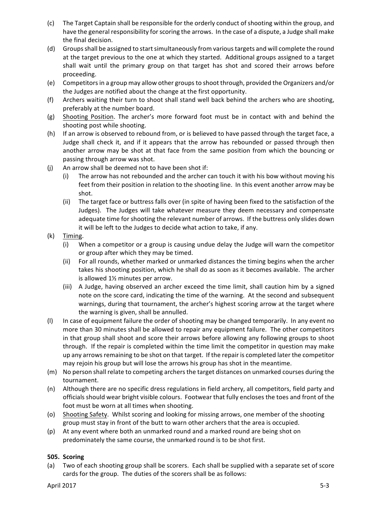- (c) The Target Captain shall be responsible for the orderly conduct of shooting within the group, and have the general responsibility for scoring the arrows. In the case of a dispute, a Judge shall make the final decision.
- (d) Groups shall be assigned to start simultaneously from various targets and will complete the round at the target previous to the one at which they started. Additional groups assigned to a target shall wait until the primary group on that target has shot and scored their arrows before proceeding.
- $(e)$  Competitors in a group may allow other groups to shoot through, provided the Organizers and/or the Judges are notified about the change at the first opportunity.
- (f) Archers waiting their turn to shoot shall stand well back behind the archers who are shooting, preferably at the number board.
- $(g)$  Shooting Position. The archer's more forward foot must be in contact with and behind the shooting post while shooting.
- (h) If an arrow is observed to rebound from, or is believed to have passed through the target face, a Judge shall check it, and if it appears that the arrow has rebounded or passed through then another arrow may be shot at that face from the same position from which the bouncing or passing through arrow was shot.
- (j) An arrow shall be deemed not to have been shot if:
	- (i) The arrow has not rebounded and the archer can touch it with his bow without moving his feet from their position in relation to the shooting line. In this event another arrow may be shot.
	- (ii) The target face or buttress falls over (in spite of having been fixed to the satisfaction of the Judges). The Judges will take whatever measure they deem necessary and compensate adequate time for shooting the relevant number of arrows. If the buttress only slides down it will be left to the Judges to decide what action to take, if any.
- (k) Timing.
	- (i) When a competitor or a group is causing undue delay the Judge will warn the competitor or group after which they may be timed.
	- (ii) For all rounds, whether marked or unmarked distances the timing begins when the archer takes his shooting position, which he shall do as soon as it becomes available. The archer is allowed 1% minutes per arrow.
	- (iii) A Judge, having observed an archer exceed the time limit, shall caution him by a signed note on the score card, indicating the time of the warning. At the second and subsequent warnings, during that tournament, the archer's highest scoring arrow at the target where the warning is given, shall be annulled.
- (I) In case of equipment failure the order of shooting may be changed temporarily. In any event no more than 30 minutes shall be allowed to repair any equipment failure. The other competitors in that group shall shoot and score their arrows before allowing any following groups to shoot through. If the repair is completed within the time limit the competitor in question may make up any arrows remaining to be shot on that target. If the repair is completed later the competitor may rejoin his group but will lose the arrows his group has shot in the meantime.
- (m) No person shall relate to competing archers the target distances on unmarked courses during the tournament.
- (n) Although there are no specific dress regulations in field archery, all competitors, field party and officials should wear bright visible colours. Footwear that fully encloses the toes and front of the foot must be worn at all times when shooting.
- (o) Shooting Safety. Whilst scoring and looking for missing arrows, one member of the shooting group must stay in front of the butt to warn other archers that the area is occupied.
- (p) At any event where both an unmarked round and a marked round are being shot on predominately the same course, the unmarked round is to be shot first.

## **505. Scoring**

(a) Two of each shooting group shall be scorers. Each shall be supplied with a separate set of score cards for the group. The duties of the scorers shall be as follows: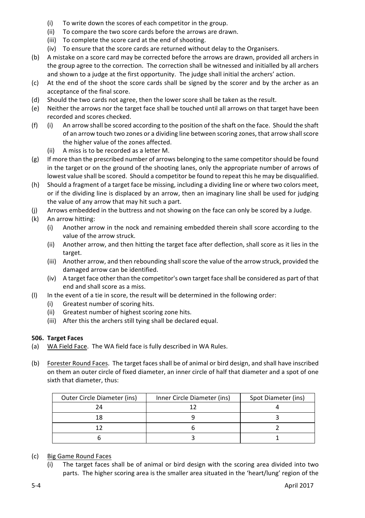- (i) To write down the scores of each competitor in the group.
- (ii) To compare the two score cards before the arrows are drawn.
- (iii) To complete the score card at the end of shooting.
- (iv) To ensure that the score cards are returned without delay to the Organisers.
- (b) A mistake on a score card may be corrected before the arrows are drawn, provided all archers in the group agree to the correction. The correction shall be witnessed and initialled by all archers and shown to a judge at the first opportunity. The judge shall initial the archers' action.
- (c) At the end of the shoot the score cards shall be signed by the scorer and by the archer as an acceptance of the final score.
- (d) Should the two cards not agree, then the lower score shall be taken as the result.
- (e) Neither the arrows nor the target face shall be touched until all arrows on that target have been recorded and scores checked.
- (f) (i) An arrow shall be scored according to the position of the shaft on the face. Should the shaft of an arrow touch two zones or a dividing line between scoring zones, that arrow shall score the higher value of the zones affected.
	- (ii) A miss is to be recorded as a letter M.
- (g) If more than the prescribed number of arrows belonging to the same competitor should be found in the target or on the ground of the shooting lanes, only the appropriate number of arrows of lowest value shall be scored. Should a competitor be found to repeat this he may be disqualified.
- (h) Should a fragment of a target face be missing, including a dividing line or where two colors meet, or if the dividing line is displaced by an arrow, then an imaginary line shall be used for judging the value of any arrow that may hit such a part.
- (i) Arrows embedded in the buttress and not showing on the face can only be scored by a Judge.
- (k) An arrow hitting:
	- (i) Another arrow in the nock and remaining embedded therein shall score according to the value of the arrow struck.
	- (ii) Another arrow, and then hitting the target face after deflection, shall score as it lies in the target.
	- (iii) Another arrow, and then rebounding shall score the value of the arrow struck, provided the damaged arrow can be identified.
	- (iv) A target face other than the competitor's own target face shall be considered as part of that end and shall score as a miss.
- (I) In the event of a tie in score, the result will be determined in the following order:
	- (i) Greatest number of scoring hits.
	- (ii) Greatest number of highest scoring zone hits.
	- (iii) After this the archers still tying shall be declared equal.

## **506. Target Faces**

- (a) WA Field Face. The WA field face is fully described in WA Rules.
- (b) Forester Round Faces. The target faces shall be of animal or bird design, and shall have inscribed on them an outer circle of fixed diameter, an inner circle of half that diameter and a spot of one sixth that diameter, thus:

| Outer Circle Diameter (ins) | Inner Circle Diameter (ins) | Spot Diameter (ins) |
|-----------------------------|-----------------------------|---------------------|
| 2Δ                          |                             |                     |
| 1 ร                         |                             |                     |
|                             |                             |                     |
|                             |                             |                     |

## (c) Big Game Round Faces

(i) The target faces shall be of animal or bird design with the scoring area divided into two parts. The higher scoring area is the smaller area situated in the 'heart/lung' region of the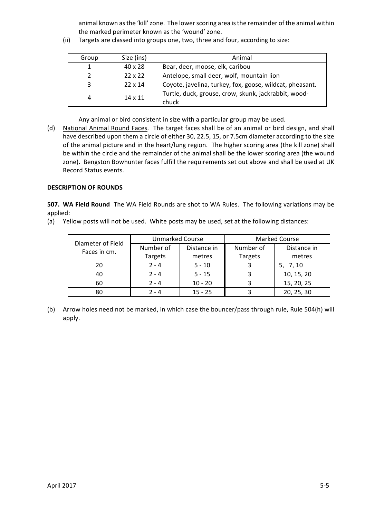animal known as the 'kill' zone. The lower scoring area is the remainder of the animal within the marked perimeter known as the 'wound' zone.

(ii) Targets are classed into groups one, two, three and four, according to size:

| Group | Size (ins)     | Animal                                                        |
|-------|----------------|---------------------------------------------------------------|
|       | $40 \times 28$ | Bear, deer, moose, elk, caribou                               |
|       | $22 \times 22$ | Antelope, small deer, wolf, mountain lion                     |
|       | $22 \times 14$ | Coyote, javelina, turkey, fox, goose, wildcat, pheasant.      |
| 4     | 14 x 11        | Turtle, duck, grouse, crow, skunk, jackrabbit, wood-<br>chuck |

Any animal or bird consistent in size with a particular group may be used.

(d) National Animal Round Faces. The target faces shall be of an animal or bird design, and shall have described upon them a circle of either 30, 22.5, 15, or 7.5cm diameter according to the size of the animal picture and in the heart/lung region. The higher scoring area (the kill zone) shall be within the circle and the remainder of the animal shall be the lower scoring area (the wound zone). Bengston Bowhunter faces fulfill the requirements set out above and shall be used at UK Record Status events.

#### **DESCRIPTION OF ROUNDS**

**507. WA Field Round** The WA Field Rounds are shot to WA Rules. The following variations may be applied:

| Diameter of Field | <b>Unmarked Course</b> |             | <b>Marked Course</b> |             |
|-------------------|------------------------|-------------|----------------------|-------------|
| Faces in cm.      | Number of              | Distance in | Number of            | Distance in |
|                   | Targets                | metres      | <b>Targets</b>       | metres      |
| 20                | $2 - 4$                | $5 - 10$    |                      | 5, 7, 10    |
| 40                | $2 - 4$                | $5 - 15$    |                      | 10, 15, 20  |
| 60                | $2 - 4$                | $10 - 20$   |                      | 15, 20, 25  |
| 80                | $2 - 4$                | $15 - 25$   |                      | 20, 25, 30  |

(a) Yellow posts will not be used. White posts may be used, set at the following distances:

(b) Arrow holes need not be marked, in which case the bouncer/pass through rule, Rule 504(h) will apply.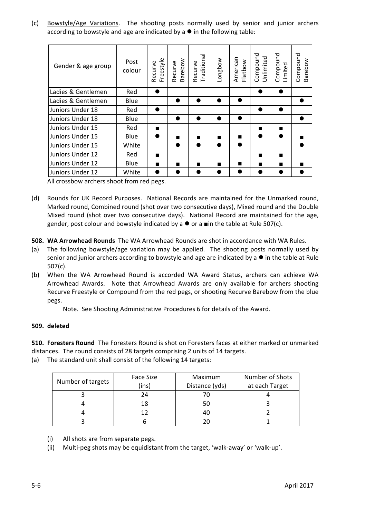(c) Bowstyle/Age Variations. The shooting posts normally used by senior and junior archers according to bowstyle and age are indicated by a  $\bullet$  in the following table:

| Gender & age group | Post<br>colour | Freestyle<br>Recurve | Barebow<br>Recurve | Traditional<br>Recurve | Longbow | American<br>Flatbow | Compound<br>Unlimited | Compound<br>Limited | Compound<br>Barebow |
|--------------------|----------------|----------------------|--------------------|------------------------|---------|---------------------|-----------------------|---------------------|---------------------|
| Ladies & Gentlemen | Red            |                      |                    |                        |         |                     |                       |                     |                     |
| Ladies & Gentlemen | Blue           |                      |                    |                        |         |                     |                       |                     |                     |
| Juniors Under 18   | Red            |                      |                    |                        |         |                     |                       |                     |                     |
| Juniors Under 18   | Blue           |                      |                    | ●                      |         |                     |                       |                     |                     |
| Juniors Under 15   | Red            | ▪                    |                    |                        |         |                     | ■                     | ▪                   |                     |
| Juniors Under 15   | Blue           |                      | п                  |                        | ▪       | ▪                   |                       |                     |                     |
| Juniors Under 15   | White          |                      |                    | ●                      |         |                     |                       |                     |                     |
| Juniors Under 12   | Red            |                      |                    |                        |         |                     | п                     |                     |                     |
| Juniors Under 12   | Blue           |                      | ▬                  | ▪                      | ▬       | ▪                   | ▬                     | ▬                   | ▪                   |
| Juniors Under 12   | White          |                      |                    |                        |         |                     |                       |                     |                     |

All crossbow archers shoot from red pegs.

(d) Rounds for UK Record Purposes. National Records are maintained for the Unmarked round. Marked round, Combined round (shot over two consecutive days), Mixed round and the Double Mixed round (shot over two consecutive days). National Record are maintained for the age, gender, post colour and bowstyle indicated by a  $\bullet$  or a  $\blacksquare$  in the table at Rule 507(c).

**508. WA Arrowhead Rounds** The WA Arrowhead Rounds are shot in accordance with WA Rules.

- (a) The following bowstyle/age variation may be applied. The shooting posts normally used by senior and junior archers according to bowstyle and age are indicated by a  $\bullet$  in the table at Rule 507(c).
- (b) When the WA Arrowhead Round is accorded WA Award Status, archers can achieve WA Arrowhead Awards. Note that Arrowhead Awards are only available for archers shooting Recurve Freestyle or Compound from the red pegs, or shooting Recurve Barebow from the blue pegs.

Note. See Shooting Administrative Procedures 6 for details of the Award.

#### **509. deleted**

**510. Foresters Round** The Foresters Round is shot on Foresters faces at either marked or unmarked distances. The round consists of 28 targets comprising 2 units of 14 targets.

(a) The standard unit shall consist of the following 14 targets:

| Number of targets | Face Size<br>(ins) | Maximum<br>Distance (yds) | Number of Shots<br>at each Target |
|-------------------|--------------------|---------------------------|-----------------------------------|
|                   | 24                 |                           |                                   |
|                   | 18                 | 50                        |                                   |
|                   |                    | 40                        |                                   |
|                   |                    |                           |                                   |

(i) All shots are from separate pegs.

(ii) Multi-peg shots may be equidistant from the target, 'walk-away' or 'walk-up'.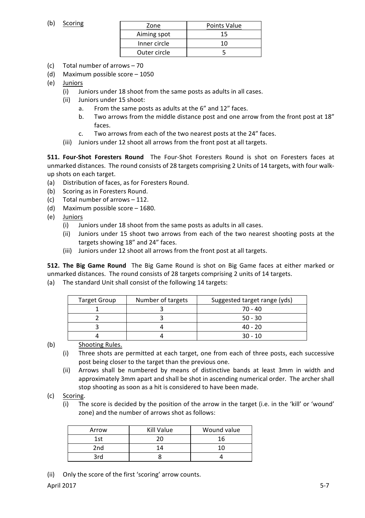(b) Scoring

| Zone         | <b>Points Value</b> |
|--------------|---------------------|
| Aiming spot  | 15                  |
| Inner circle | 10                  |
| Outer circle |                     |

- $(c)$  Total number of arrows  $-70$
- $(d)$  Maximum possible score  $-1050$
- (e) Juniors
	- (i) Juniors under 18 shoot from the same posts as adults in all cases.
	- (ii) Juniors under 15 shoot:
		- a. From the same posts as adults at the 6" and 12" faces.
		- b. Two arrows from the middle distance post and one arrow from the front post at 18" faces.
		- c. Two arrows from each of the two nearest posts at the 24" faces.
	- (iii) Juniors under 12 shoot all arrows from the front post at all targets.

**511. Four-Shot Foresters Round** The Four-Shot Foresters Round is shot on Foresters faces at unmarked distances. The round consists of 28 targets comprising 2 Units of 14 targets, with four walkup shots on each target.

- (a) Distribution of faces, as for Foresters Round.
- (b) Scoring as in Foresters Round.
- (c) Total number of arrows 112.
- (d) Maximum possible  $score 1680$ .
- (e) Juniors
	- (i) Juniors under 18 shoot from the same posts as adults in all cases.
	- (ii) Juniors under 15 shoot two arrows from each of the two nearest shooting posts at the targets showing 18" and 24" faces.
	- (iii) Juniors under 12 shoot all arrows from the front post at all targets.

**512. The Big Game Round** The Big Game Round is shot on Big Game faces at either marked or unmarked distances. The round consists of 28 targets comprising 2 units of 14 targets.

(a) The standard Unit shall consist of the following 14 targets:

| <b>Target Group</b> | Number of targets | Suggested target range (yds) |
|---------------------|-------------------|------------------------------|
|                     |                   | 70 - 40                      |
|                     |                   | $50 - 30$                    |
|                     |                   | $40 - 20$                    |
|                     |                   | $30 - 10$                    |

(b) Shooting Rules.

- (i) Three shots are permitted at each target, one from each of three posts, each successive post being closer to the target than the previous one.
- (ii) Arrows shall be numbered by means of distinctive bands at least 3mm in width and approximately 3mm apart and shall be shot in ascending numerical order. The archer shall stop shooting as soon as a hit is considered to have been made.
- (c) Scoring.
	- (i) The score is decided by the position of the arrow in the target (i.e. in the 'kill' or 'wound' zone) and the number of arrows shot as follows:

| Arrow | Kill Value | Wound value |
|-------|------------|-------------|
| 1st   |            |             |
| 2nd   |            |             |
| 3rd   |            |             |

(ii) Only the score of the first 'scoring' arrow counts.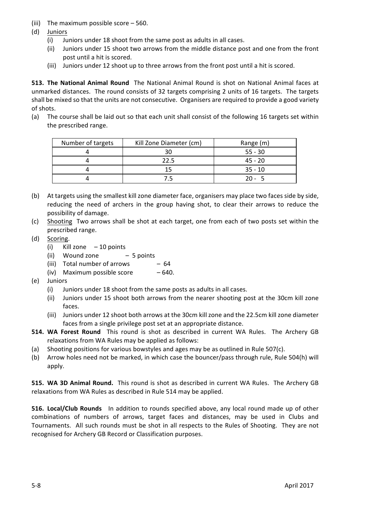- (iii) The maximum possible  $score 560$ .
- (d) Juniors
	- (i) Juniors under 18 shoot from the same post as adults in all cases.
	- (ii) Juniors under 15 shoot two arrows from the middle distance post and one from the front post until a hit is scored.
	- (iii) Juniors under 12 shoot up to three arrows from the front post until a hit is scored.

**513. The National Animal Round** The National Animal Round is shot on National Animal faces at unmarked distances. The round consists of 32 targets comprising 2 units of 16 targets. The targets shall be mixed so that the units are not consecutive. Organisers are required to provide a good variety of shots.

(a) The course shall be laid out so that each unit shall consist of the following 16 targets set within the prescribed range.

| Number of targets | Kill Zone Diameter (cm) | Range (m) |
|-------------------|-------------------------|-----------|
|                   |                         | $55 - 30$ |
|                   | 22.5                    | $45 - 20$ |
|                   |                         | $35 - 10$ |
|                   |                         | 20 - 5    |

- (b) At targets using the smallest kill zone diameter face, organisers may place two faces side by side, reducing the need of archers in the group having shot, to clear their arrows to reduce the possibility of damage.
- (c) Shooting Two arrows shall be shot at each target, one from each of two posts set within the prescribed range.
- (d) Scoring.
	- $(i)$  Kill zone  $-10$  points
	- $(ii)$  Wound zone  $-5$  points
	- $(iii)$  Total number of arrows  $-64$
	- (iv) Maximum possible score  $-640$ .
- (e) Juniors
	- $(i)$  Juniors under 18 shoot from the same posts as adults in all cases.
	- (ii) Juniors under 15 shoot both arrows from the nearer shooting post at the 30cm kill zone faces.
	- (iii) Juniors under 12 shoot both arrows at the 30cm kill zone and the 22.5cm kill zone diameter faces from a single privilege post set at an appropriate distance.
- **514. WA Forest Round** This round is shot as described in current WA Rules. The Archery GB relaxations from WA Rules may be applied as follows:
- (a) Shooting positions for various bowstyles and ages may be as outlined in Rule 507(c).
- (b) Arrow holes need not be marked, in which case the bouncer/pass through rule, Rule 504(h) will apply.

**515. WA 3D Animal Round.** This round is shot as described in current WA Rules. The Archery GB relaxations from WA Rules as described in Rule 514 may be applied.

**516. Local/Club Rounds** In addition to rounds specified above, any local round made up of other combinations of numbers of arrows, target faces and distances, may be used in Clubs and Tournaments. All such rounds must be shot in all respects to the Rules of Shooting. They are not recognised for Archery GB Record or Classification purposes.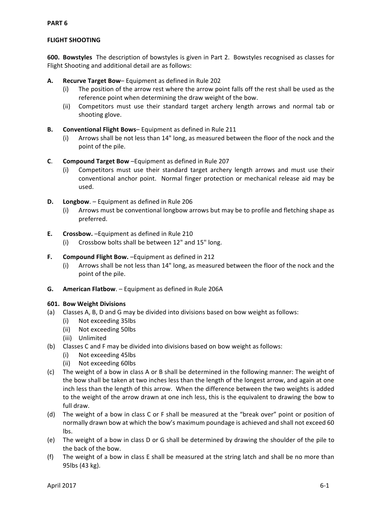## **FLIGHT SHOOTING**

**600. Bowstyles** The description of bowstyles is given in Part 2. Bowstyles recognised as classes for Flight Shooting and additional detail are as follows:

## A. **Recurve Target Bow–** Equipment as defined in Rule 202

- (i) The position of the arrow rest where the arrow point falls off the rest shall be used as the reference point when determining the draw weight of the bow.
- (ii) Competitors must use their standard target archery length arrows and normal tab or shooting glove.

### **B. Conventional Flight Bows**– Equipment as defined in Rule 211

(i) Arrows shall be not less than 14" long, as measured between the floor of the nock and the point of the pile.

### **C. Compound Target Bow** –Equipment as defined in Rule 207

- (i) Competitors must use their standard target archery length arrows and must use their conventional anchor point. Normal finger protection or mechanical release aid may be used.
- **D. Longbow**. Equipment as defined in Rule 206
	- $(i)$  Arrows must be conventional longbow arrows but may be to profile and fletching shape as preferred.
- **E. Crossbow.** -Equipment as defined in Rule 210
	- (i) Crossbow bolts shall be between 12" and 15" long.

#### **F. Compound Flight Bow.** –Equipment as defined in 212

- $(i)$  Arrows shall be not less than  $14"$  long, as measured between the floor of the nock and the point of the pile.
- **G. American Flatbow**. Equipment as defined in Rule 206A

#### **601. Bow Weight Divisions**

- (a) Classes A, B, D and G may be divided into divisions based on bow weight as follows:
	- (i) Not exceeding 35lbs
	- (ii) Not exceeding 50lbs
	- (iii) Unlimited
- (b) Classes C and F may be divided into divisions based on bow weight as follows:
	- (i) Not exceeding 45lbs
	- (ii) Not exceeding 60lbs
- (c) The weight of a bow in class A or B shall be determined in the following manner: The weight of the bow shall be taken at two inches less than the length of the longest arrow, and again at one inch less than the length of this arrow. When the difference between the two weights is added to the weight of the arrow drawn at one inch less, this is the equivalent to drawing the bow to full draw.
- (d) The weight of a bow in class C or F shall be measured at the "break over" point or position of normally drawn bow at which the bow's maximum poundage is achieved and shall not exceed 60 lbs.
- (e) The weight of a bow in class D or G shall be determined by drawing the shoulder of the pile to the back of the bow.
- (f) The weight of a bow in class E shall be measured at the string latch and shall be no more than 95lbs (43 kg).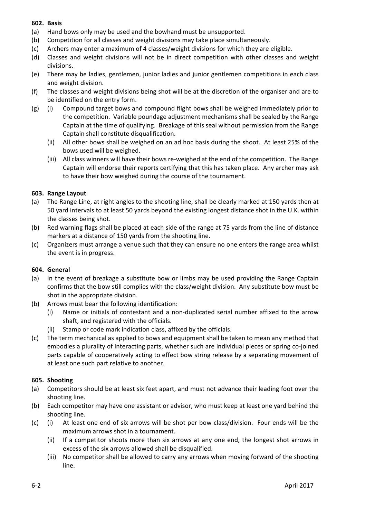## **602. Basis**

- (a) Hand bows only may be used and the bowhand must be unsupported.
- (b) Competition for all classes and weight divisions may take place simultaneously.
- (c) Archers may enter a maximum of 4 classes/weight divisions for which they are eligible.
- (d) Classes and weight divisions will not be in direct competition with other classes and weight divisions.
- (e) There may be ladies, gentlemen, junior ladies and junior gentlemen competitions in each class and weight division.
- (f) The classes and weight divisions being shot will be at the discretion of the organiser and are to be identified on the entry form.
- $(g)$  (i) Compound target bows and compound flight bows shall be weighed immediately prior to the competition. Variable poundage adjustment mechanisms shall be sealed by the Range Captain at the time of qualifying. Breakage of this seal without permission from the Range Captain shall constitute disqualification.
	- (ii) All other bows shall be weighed on an ad hoc basis during the shoot. At least 25% of the bows used will be weighed.
	- (iii) All class winners will have their bows re-weighed at the end of the competition. The Range Captain will endorse their reports certifying that this has taken place. Any archer may ask to have their bow weighed during the course of the tournament.

## **603. Range Layout**

- (a) The Range Line, at right angles to the shooting line, shall be clearly marked at 150 yards then at 50 yard intervals to at least 50 yards beyond the existing longest distance shot in the U.K. within the classes being shot.
- (b) Red warning flags shall be placed at each side of the range at 75 yards from the line of distance markers at a distance of 150 yards from the shooting line.
- (c) Organizers must arrange a venue such that they can ensure no one enters the range area whilst the event is in progress.

### **604. General**

- (a) In the event of breakage a substitute bow or limbs may be used providing the Range Captain confirms that the bow still complies with the class/weight division. Any substitute bow must be shot in the appropriate division.
- (b) Arrows must bear the following identification:
	- (i) Name or initials of contestant and a non-duplicated serial number affixed to the arrow shaft, and registered with the officials.
	- (ii) Stamp or code mark indication class, affixed by the officials.
- (c) The term mechanical as applied to bows and equipment shall be taken to mean any method that embodies a plurality of interacting parts, whether such are individual pieces or spring co-joined parts capable of cooperatively acting to effect bow string release by a separating movement of at least one such part relative to another.

#### **605. Shooting**

- (a) Competitors should be at least six feet apart, and must not advance their leading foot over the shooting line.
- (b) Each competitor may have one assistant or advisor, who must keep at least one yard behind the shooting line.
- (c) (i) At least one end of six arrows will be shot per bow class/division. Four ends will be the maximum arrows shot in a tournament.
	- (ii) If a competitor shoots more than six arrows at any one end, the longest shot arrows in excess of the six arrows allowed shall be disqualified.
	- (iii) No competitor shall be allowed to carry any arrows when moving forward of the shooting line.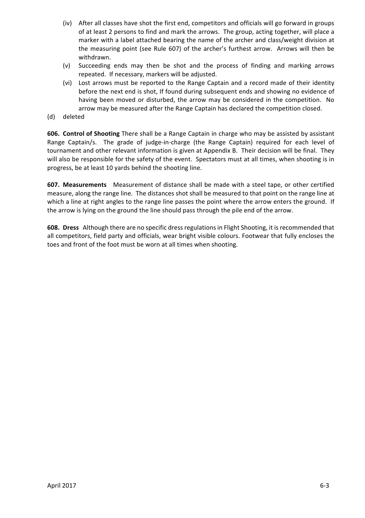- (iv) After all classes have shot the first end, competitors and officials will go forward in groups of at least 2 persons to find and mark the arrows. The group, acting together, will place a marker with a label attached bearing the name of the archer and class/weight division at the measuring point (see Rule 607) of the archer's furthest arrow. Arrows will then be withdrawn.
- (v) Succeeding ends may then be shot and the process of finding and marking arrows repeated. If necessary, markers will be adjusted.
- (vi) Lost arrows must be reported to the Range Captain and a record made of their identity before the next end is shot. If found during subsequent ends and showing no evidence of having been moved or disturbed, the arrow may be considered in the competition. No arrow may be measured after the Range Captain has declared the competition closed.
- (d) deleted

**606. Control of Shooting** There shall be a Range Captain in charge who may be assisted by assistant Range Captain/s. The grade of judge-in-charge (the Range Captain) required for each level of tournament and other relevant information is given at Appendix B. Their decision will be final. They will also be responsible for the safety of the event. Spectators must at all times, when shooting is in progress, be at least 10 yards behind the shooting line.

**607. Measurements** Measurement of distance shall be made with a steel tape, or other certified measure, along the range line. The distances shot shall be measured to that point on the range line at which a line at right angles to the range line passes the point where the arrow enters the ground. If the arrow is lying on the ground the line should pass through the pile end of the arrow.

**608. Dress** Although there are no specific dress regulations in Flight Shooting, it is recommended that all competitors, field party and officials, wear bright visible colours. Footwear that fully encloses the toes and front of the foot must be worn at all times when shooting.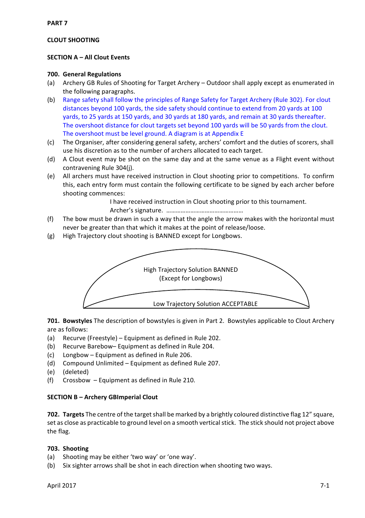## **CLOUT SHOOTING**

## **SECTION A – All Clout Events**

### **700. General Regulations**

- (a) Archery GB Rules of Shooting for Target Archery Outdoor shall apply except as enumerated in the following paragraphs.
- (b) Range safety shall follow the principles of Range Safety for Target Archery (Rule 302). For clout distances beyond 100 vards, the side safety should continue to extend from 20 vards at 100 vards, to 25 vards at 150 vards, and 30 vards at 180 vards, and remain at 30 vards thereafter. The overshoot distance for clout targets set beyond 100 vards will be 50 vards from the clout. The overshoot must be level ground. A diagram is at Appendix E
- (c) The Organiser, after considering general safety, archers' comfort and the duties of scorers, shall use his discretion as to the number of archers allocated to each target.
- (d) A Clout event may be shot on the same day and at the same venue as a Flight event without contravening Rule 304(j).
- (e) All archers must have received instruction in Clout shooting prior to competitions. To confirm this, each entry form must contain the following certificate to be signed by each archer before shooting commences:

I have received instruction in Clout shooting prior to this tournament.

Archer's signature. …………………………………………

- (f) The bow must be drawn in such a way that the angle the arrow makes with the horizontal must never be greater than that which it makes at the point of release/loose.
- (g) High Trajectory clout shooting is BANNED except for Longbows.



**701. Bowstyles** The description of bowstyles is given in Part 2. Bowstyles applicable to Clout Archery are as follows:

- (a) Recurve (Freestyle) Equipment as defined in Rule 202.
- (b) Recurve Barebow– Equipment as defined in Rule 204.
- $(c)$  Longbow Equipment as defined in Rule 206.
- (d) Compound Unlimited Equipment as defined Rule 207.
- (e) (deleted)
- (f) Crossbow  $-$  Equipment as defined in Rule 210.

## **SECTION B – Archery GBImperial Clout**

**702. Targets** The centre of the target shall be marked by a brightly coloured distinctive flag 12" square, set as close as practicable to ground level on a smooth vertical stick. The stick should not project above the flag.

## **703. Shooting**

- (a) Shooting may be either 'two way' or 'one way'.
- (b) Six sighter arrows shall be shot in each direction when shooting two ways.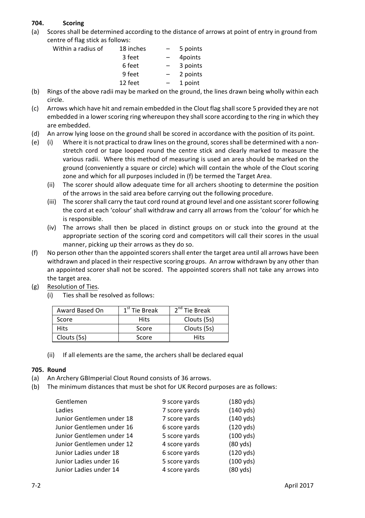## **704. Scoring**

Within a radius of

(a) Scores shall be determined according to the distance of arrows at point of entry in ground from centre of flag stick as follows:

| 18 inches |   | 5 points |
|-----------|---|----------|
| 3 feet    |   | 4points  |
| 6 feet    | - | 3 points |
| 9 feet    | - | 2 points |
| 12 feet   |   | 1 point  |

- (b) Rings of the above radii may be marked on the ground, the lines drawn being wholly within each circle.
- (c) Arrows which have hit and remain embedded in the Clout flag shall score 5 provided they are not embedded in a lower scoring ring whereupon they shall score according to the ring in which they are embedded.
- (d) An arrow lying loose on the ground shall be scored in accordance with the position of its point.
- (e) (i) Where it is not practical to draw lines on the ground, scores shall be determined with a nonstretch cord or tape looped round the centre stick and clearly marked to measure the various radii. Where this method of measuring is used an area should be marked on the ground (conveniently a square or circle) which will contain the whole of the Clout scoring zone and which for all purposes included in (f) be termed the Target Area.
	- (ii) The scorer should allow adequate time for all archers shooting to determine the position of the arrows in the said area before carrying out the following procedure.
	- (iii) The scorer shall carry the taut cord round at ground level and one assistant scorer following the cord at each 'colour' shall withdraw and carry all arrows from the 'colour' for which he is responsible.
	- (iv) The arrows shall then be placed in distinct groups on or stuck into the ground at the appropriate section of the scoring cord and competitors will call their scores in the usual manner, picking up their arrows as they do so.
- (f) No person other than the appointed scorers shall enter the target area until all arrows have been withdrawn and placed in their respective scoring groups. An arrow withdrawn by any other than an appointed scorer shall not be scored. The appointed scorers shall not take any arrows into the target area.
- (g) Resolution of Ties.
	- (i) Ties shall be resolved as follows:

| Award Based On | $1st$ Tie Break | 2 <sup>nd</sup> Tie Break |
|----------------|-----------------|---------------------------|
| Score          | <b>Hits</b>     | Clouts (5s)               |
| Hits           | Score           | Clouts (5s)               |
| Clouts (5s)    | Score           | Hits                      |

(ii) If all elements are the same, the archers shall be declared equal

#### **705. Round**

- (a) An Archery GBImperial Clout Round consists of 36 arrows.
- (b) The minimum distances that must be shot for UK Record purposes are as follows:

| Gentlemen                 | 9 score vards | $(180 \text{ vds})$ |
|---------------------------|---------------|---------------------|
| Ladies                    | 7 score yards | (140 yds)           |
| Junior Gentlemen under 18 | 7 score yards | (140 yds)           |
| Junior Gentlemen under 16 | 6 score vards | (120 yds)           |
| Junior Gentlemen under 14 | 5 score vards | (100 yds)           |
| Junior Gentlemen under 12 | 4 score vards | $(80 \text{ vds})$  |
| Junior Ladies under 18    | 6 score vards | (120 yds)           |
| Junior Ladies under 16    | 5 score vards | (100 yds)           |
| Junior Ladies under 14    | 4 score yards | (80 yds)            |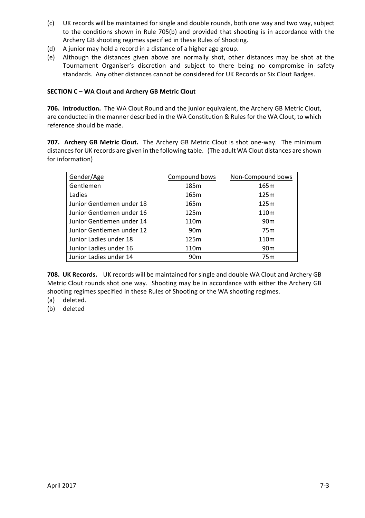- (c) UK records will be maintained for single and double rounds, both one way and two way, subject to the conditions shown in Rule 705(b) and provided that shooting is in accordance with the Archery GB shooting regimes specified in these Rules of Shooting.
- (d) A junior may hold a record in a distance of a higher age group.
- (e) Although the distances given above are normally shot, other distances may be shot at the Tournament Organiser's discretion and subject to there being no compromise in safety standards. Any other distances cannot be considered for UK Records or Six Clout Badges.

## **SECTION C – WA Clout and Archery GB Metric Clout**

**706. Introduction.** The WA Clout Round and the junior equivalent, the Archery GB Metric Clout. are conducted in the manner described in the WA Constitution & Rules for the WA Clout, to which reference should be made.

**707.** Archery GB Metric Clout. The Archery GB Metric Clout is shot one-way. The minimum distances for UK records are given in the following table. (The adult WA Clout distances are shown for information)

| Gender/Age                | Compound bows    | Non-Compound bows |  |
|---------------------------|------------------|-------------------|--|
| Gentlemen                 | 185m             | 165m              |  |
| Ladies                    | 165m             | 125m              |  |
| Junior Gentlemen under 18 | 165m             | 125m              |  |
| Junior Gentlemen under 16 | 125m             | 110 <sub>m</sub>  |  |
| Junior Gentlemen under 14 | 110 <sub>m</sub> | 90 <sub>m</sub>   |  |
| Junior Gentlemen under 12 | 90 <sub>m</sub>  | 75 <sub>m</sub>   |  |
| Junior Ladies under 18    | 125m             | 110 <sub>m</sub>  |  |
| Junior Ladies under 16    | 110 <sub>m</sub> | 90 <sub>m</sub>   |  |
| Junior Ladies under 14    | 90 <sub>m</sub>  | 75 <sub>m</sub>   |  |

**708. UK Records.** UK records will be maintained for single and double WA Clout and Archery GB Metric Clout rounds shot one way. Shooting may be in accordance with either the Archery GB shooting regimes specified in these Rules of Shooting or the WA shooting regimes.

- (a) deleted.
- (b) deleted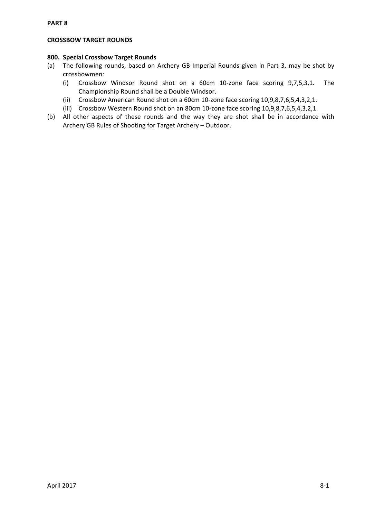## **CROSSBOW TARGET ROUNDS**

#### **800. Special Crossbow Target Rounds**

- (a) The following rounds, based on Archery GB Imperial Rounds given in Part 3, may be shot by crossbowmen:
	- (i) Crossbow Windsor Round shot on a  $60cm$  10-zone face scoring  $9.7.5.3.1$ . The Championship Round shall be a Double Windsor.
	- (ii) Crossbow American Round shot on a 60cm 10-zone face scoring 10,9,8,7,6,5,4,3,2,1.
	- (iii) Crossbow Western Round shot on an 80cm 10-zone face scoring 10.9.8.7.6.5.4.3.2.1.
- (b) All other aspects of these rounds and the way they are shot shall be in accordance with Archery GB Rules of Shooting for Target Archery - Outdoor.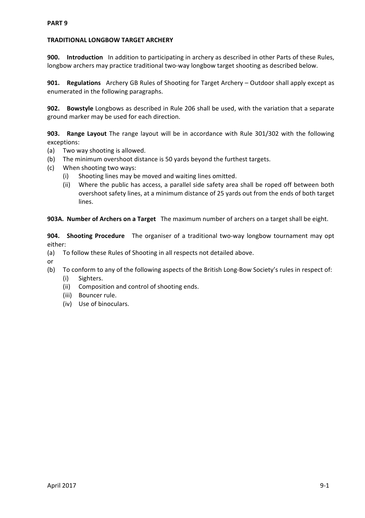## **TRADITIONAL LONGBOW TARGET ARCHERY**

**900. Introduction** In addition to participating in archery as described in other Parts of these Rules, longbow archers may practice traditional two-way longbow target shooting as described below.

**901. Regulations** Archery GB Rules of Shooting for Target Archery – Outdoor shall apply except as enumerated in the following paragraphs.

**902.** Bowstyle Longbows as described in Rule 206 shall be used, with the variation that a separate ground marker may be used for each direction.

**903.** Range Layout The range layout will be in accordance with Rule 301/302 with the following exceptions:

- (a) Two way shooting is allowed.
- (b) The minimum overshoot distance is 50 yards beyond the furthest targets.
- (c) When shooting two ways:
	- (i) Shooting lines may be moved and waiting lines omitted.
	- (ii) Where the public has access, a parallel side safety area shall be roped off between both overshoot safety lines, at a minimum distance of 25 yards out from the ends of both target lines.

**903A. Number of Archers on a Target** The maximum number of archers on a target shall be eight.

**904.** Shooting Procedure The organiser of a traditional two-way longbow tournament may opt either:

- (a) To follow these Rules of Shooting in all respects not detailed above.
- or
- (b) To conform to any of the following aspects of the British Long-Bow Society's rules in respect of:
	- (i) Sighters.
	- (ii) Composition and control of shooting ends.
	- (iii) Bouncer rule.
	- (iv) Use of binoculars.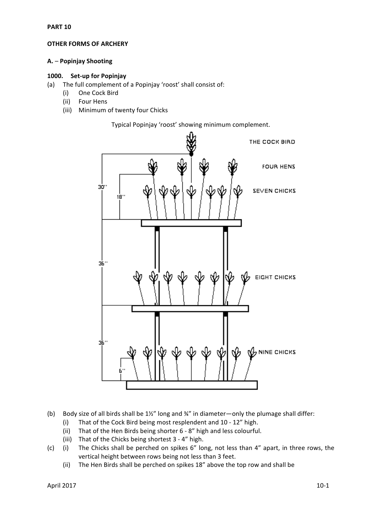## **OTHER FORMS OF ARCHERY**

## **A.** – **Popinjay Shooting**

#### **1000. Set-up for Popinjay**

- (a) The full complement of a Popinjay 'roost' shall consist of:
	- (i) One Cock Bird
	- (ii) Four Hens
	- (iii) Minimum of twenty four Chicks

Typical Popinjay 'roost' showing minimum complement.



- (b) Body size of all birds shall be  $1½"$  long and  $\frac{2}{4}$ " in diameter—only the plumage shall differ:
	- (i) That of the Cock Bird being most resplendent and  $10 12$ " high.
	- (ii) That of the Hen Birds being shorter  $6 8$ " high and less colourful.
	- (iii) That of the Chicks being shortest  $3 4$ " high.
- (c) (i) The Chicks shall be perched on spikes 6" long, not less than 4" apart, in three rows, the vertical height between rows being not less than 3 feet.
	- (ii) The Hen Birds shall be perched on spikes 18" above the top row and shall be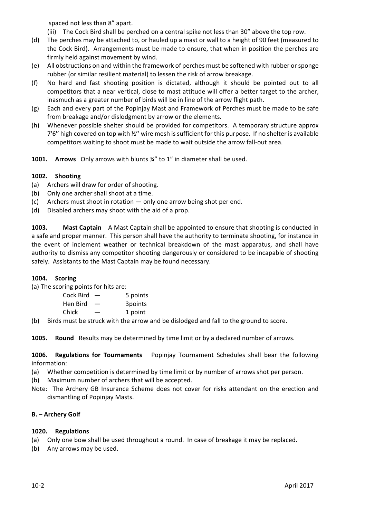spaced not less than 8" apart.

(iii) The Cock Bird shall be perched on a central spike not less than 30" above the top row.

- (d) The perches may be attached to, or hauled up a mast or wall to a height of 90 feet (measured to the Cock Bird). Arrangements must be made to ensure, that when in position the perches are firmly held against movement by wind.
- (e) All obstructions on and within the framework of perches must be softened with rubber or sponge rubber (or similar resilient material) to lessen the risk of arrow breakage.
- (f) No hard and fast shooting position is dictated, although it should be pointed out to all competitors that a near vertical, close to mast attitude will offer a better target to the archer. inasmuch as a greater number of birds will be in line of the arrow flight path.
- (g) Each and every part of the Popiniay Mast and Framework of Perches must be made to be safe from breakage and/or dislodgment by arrow or the elements.
- (h) Whenever possible shelter should be provided for competitors. A temporary structure approx  $7'6''$  high covered on top with  $\frac{1}{2}''$  wire mesh is sufficient for this purpose. If no shelter is available competitors waiting to shoot must be made to wait outside the arrow fall-out area.

**1001.** Arrows Only arrows with blunts <sup>34"</sup> to 1" in diameter shall be used.

### **1002. Shooting**

- (a) Archers will draw for order of shooting.
- (b) Only one archer shall shoot at a time.
- $(c)$  Archers must shoot in rotation  $-$  only one arrow being shot per end.
- (d) Disabled archers may shoot with the aid of a prop.

**1003. Mast Captain** A Mast Captain shall be appointed to ensure that shooting is conducted in a safe and proper manner. This person shall have the authority to terminate shooting, for instance in the event of inclement weather or technical breakdown of the mast apparatus, and shall have authority to dismiss any competitor shooting dangerously or considered to be incapable of shooting safely. Assistants to the Mast Captain may be found necessary.

#### **1004. Scoring**

(a) The scoring points for hits are:

| Cock Bird |                          | 5 points |
|-----------|--------------------------|----------|
| Hen Bird  | $\overline{\phantom{0}}$ | 3points  |
| Chick     |                          | 1 point  |

(b) Birds must be struck with the arrow and be dislodged and fall to the ground to score.

**1005. Round** Results may be determined by time limit or by a declared number of arrows.

**1006. Regulations for Tournaments** Popinjay Tournament Schedules shall bear the following information:

- (a) Whether competition is determined by time limit or by number of arrows shot per person.
- (b) Maximum number of archers that will be accepted.
- Note: The Archery GB Insurance Scheme does not cover for risks attendant on the erection and dismantling of Popinjay Masts.

## **B.** – Archery Golf

### **1020. Regulations**

- (a) Only one bow shall be used throughout a round. In case of breakage it may be replaced.
- (b) Any arrows may be used.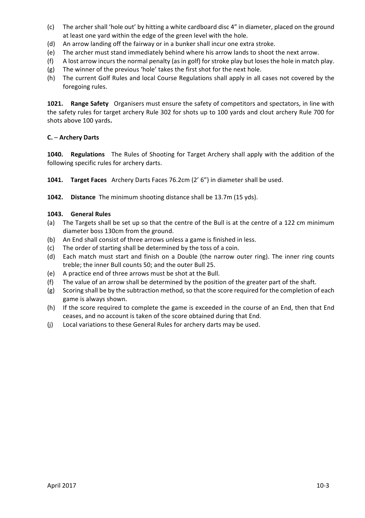- $(c)$  The archer shall 'hole out' by hitting a white cardboard disc  $4"$  in diameter, placed on the ground at least one yard within the edge of the green level with the hole.
- (d) An arrow landing off the fairway or in a bunker shall incur one extra stroke.
- (e) The archer must stand immediately behind where his arrow lands to shoot the next arrow.
- (f) A lost arrow incurs the normal penalty (as in golf) for stroke play but loses the hole in match play.
- $(g)$  The winner of the previous 'hole' takes the first shot for the next hole.
- (h) The current Golf Rules and local Course Regulations shall apply in all cases not covered by the foregoing rules.

**1021.** Range Safety Organisers must ensure the safety of competitors and spectators, in line with the safety rules for target archery Rule 302 for shots up to 100 yards and clout archery Rule 700 for shots above 100 vards.

## **C.** – **Archery Darts**

**1040. Regulations** The Rules of Shooting for Target Archery shall apply with the addition of the following specific rules for archery darts.

**1041. Target Faces** Archery Darts Faces 76.2cm (2' 6") in diameter shall be used.

**1042. Distance** The minimum shooting distance shall be 13.7m (15 yds).

## **1043. General Rules**

- (a) The Targets shall be set up so that the centre of the Bull is at the centre of a 122 cm minimum diameter boss 130cm from the ground.
- (b) An End shall consist of three arrows unless a game is finished in less.
- (c) The order of starting shall be determined by the toss of a coin.
- (d) Each match must start and finish on a Double (the narrow outer ring). The inner ring counts treble: the inner Bull counts 50; and the outer Bull 25.
- (e) A practice end of three arrows must be shot at the Bull.
- (f) The value of an arrow shall be determined by the position of the greater part of the shaft.
- $(g)$  Scoring shall be by the subtraction method, so that the score required for the completion of each game is always shown.
- (h) If the score required to complete the game is exceeded in the course of an End, then that End ceases, and no account is taken of the score obtained during that End.
- (j) Local variations to these General Rules for archery darts may be used.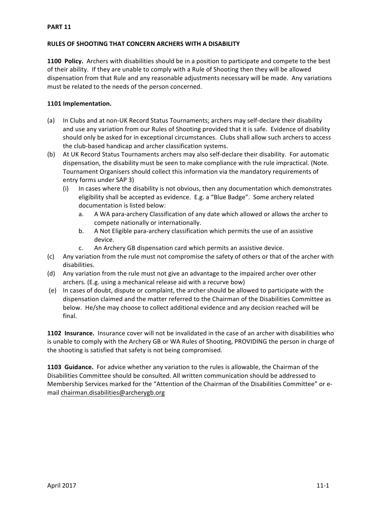## **RULES OF SHOOTING THAT CONCERN ARCHERS WITH A DISABILITY**

**1100 Policy.** Archers with disabilities should be in a position to participate and compete to the best of their ability. If they are unable to comply with a Rule of Shooting then they will be allowed dispensation from that Rule and any reasonable adjustments necessary will be made. Any variations must be related to the needs of the person concerned.

## **1101 Implementation.**

- (a) In Clubs and at non-UK Record Status Tournaments: archers may self-declare their disability and use any variation from our Rules of Shooting provided that it is safe. Evidence of disability should only be asked for in exceptional circumstances. Clubs shall allow such archers to access the club-based handicap and archer classification systems.
- (b) At UK Record Status Tournaments archers may also self-declare their disability. For automatic dispensation, the disability must be seen to make compliance with the rule impractical. (Note. Tournament Organisers should collect this information via the mandatory requirements of entry forms under SAP 3)
	- $(i)$  In cases where the disability is not obvious, then any documentation which demonstrates eligibility shall be accepted as evidence. E.g. a "Blue Badge". Some archery related documentation is listed below:
		- a. A WA para-archery Classification of any date which allowed or allows the archer to compete nationally or internationally.
		- b. A Not Eligible para-archery classification which permits the use of an assistive device.
		- c. An Archery GB dispensation card which permits an assistive device.
- (c) Any variation from the rule must not compromise the safety of others or that of the archer with disabilities.
- (d) Any variation from the rule must not give an advantage to the impaired archer over other archers. (E.g. using a mechanical release aid with a recurve bow)
- (e) In cases of doubt, dispute or complaint, the archer should be allowed to participate with the dispensation claimed and the matter referred to the Chairman of the Disabilities Committee as below. He/she may choose to collect additional evidence and any decision reached will be final.

**1102 Insurance.** Insurance cover will not be invalidated in the case of an archer with disabilities who is unable to comply with the Archery GB or WA Rules of Shooting, PROVIDING the person in charge of the shooting is satisfied that safety is not being compromised.

**1103 Guidance.** For advice whether any variation to the rules is allowable, the Chairman of the Disabilities Committee should be consulted. All written communication should be addressed to Membership Services marked for the "Attention of the Chairman of the Disabilities Committee" or email chairman.disabilities@archerygb.org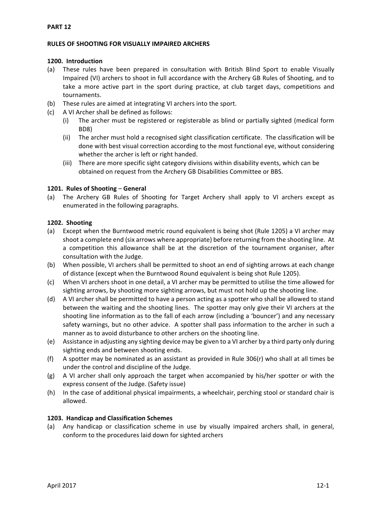### **RULES OF SHOOTING FOR VISUALLY IMPAIRED ARCHERS**

#### **1200. Introduction**

- (a) These rules have been prepared in consultation with British Blind Sport to enable Visually Impaired (VI) archers to shoot in full accordance with the Archery GB Rules of Shooting, and to take a more active part in the sport during practice, at club target days, competitions and tournaments.
- (b) These rules are aimed at integrating VI archers into the sport.
- (c) A VI Archer shall be defined as follows:
	- (i) The archer must be registered or registerable as blind or partially sighted (medical form BD8)
	- (ii) The archer must hold a recognised sight classification certificate. The classification will be done with best visual correction according to the most functional eve, without considering whether the archer is left or right handed.
	- (iii) There are more specific sight category divisions within disability events, which can be obtained on request from the Archery GB Disabilities Committee or BBS.

### **1201. Rules of Shooting** – **General**

(a) The Archery GB Rules of Shooting for Target Archery shall apply to VI archers except as enumerated in the following paragraphs.

### **1202. Shooting**

- (a) Except when the Burntwood metric round equivalent is being shot (Rule 1205) a VI archer may shoot a complete end (six arrows where appropriate) before returning from the shooting line. At a competition this allowance shall be at the discretion of the tournament organiser, after consultation with the Judge.
- (b) When possible, VI archers shall be permitted to shoot an end of sighting arrows at each change of distance (except when the Burntwood Round equivalent is being shot Rule 1205).
- (c) When VI archers shoot in one detail, a VI archer may be permitted to utilise the time allowed for sighting arrows, by shooting more sighting arrows, but must not hold up the shooting line.
- (d) A VI archer shall be permitted to have a person acting as a spotter who shall be allowed to stand between the waiting and the shooting lines. The spotter may only give their VI archers at the shooting line information as to the fall of each arrow (including a 'bouncer') and any necessary safety warnings, but no other advice. A spotter shall pass information to the archer in such a manner as to avoid disturbance to other archers on the shooting line.
- (e) Assistance in adjusting any sighting device may be given to a VI archer by a third party only during sighting ends and between shooting ends.
- (f) A spotter may be nominated as an assistant as provided in Rule  $306(r)$  who shall at all times be under the control and discipline of the Judge.
- (g) A VI archer shall only approach the target when accompanied by his/her spotter or with the express consent of the Judge. (Safety issue)
- (h) In the case of additional physical impairments, a wheelchair, perching stool or standard chair is allowed.

## **1203. Handicap and Classification Schemes**

(a) Any handicap or classification scheme in use by visually impaired archers shall, in general, conform to the procedures laid down for sighted archers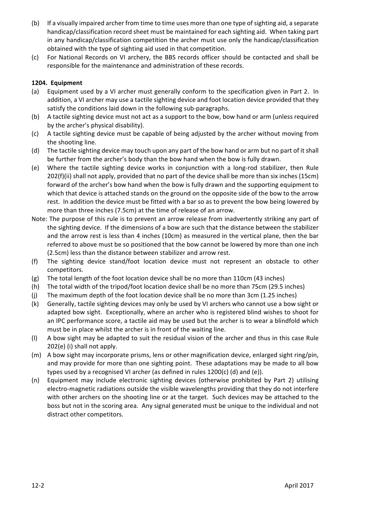- (b) If a visually impaired archer from time to time uses more than one type of sighting aid, a separate handicap/classification record sheet must be maintained for each sighting aid. When taking part in any handicap/classification competition the archer must use only the handicap/classification obtained with the type of sighting aid used in that competition.
- (c) For National Records on VI archery, the BBS records officer should be contacted and shall be responsible for the maintenance and administration of these records.

### 1204. Equipment

- (a) Equipment used by a VI archer must generally conform to the specification given in Part 2. In addition, a VI archer may use a tactile sighting device and foot location device provided that they satisfy the conditions laid down in the following sub-paragraphs.
- (b) A tactile sighting device must not act as a support to the bow, bow hand or arm (unless required by the archer's physical disability).
- (c) A tactile sighting device must be capable of being adjusted by the archer without moving from the shooting line.
- (d) The tactile sighting device may touch upon any part of the bow hand or arm but no part of it shall be further from the archer's body than the bow hand when the bow is fully drawn.
- (e) Where the tactile sighting device works in conjunction with a long-rod stabilizer, then Rule  $202(f)(ii)$  shall not apply, provided that no part of the device shall be more than six inches (15cm) forward of the archer's bow hand when the bow is fully drawn and the supporting equipment to which that device is attached stands on the ground on the opposite side of the bow to the arrow rest. In addition the device must be fitted with a bar so as to prevent the bow being lowered by more than three inches (7.5cm) at the time of release of an arrow.
- Note: The purpose of this rule is to prevent an arrow release from inadvertently striking any part of the sighting device. If the dimensions of a bow are such that the distance between the stabilizer and the arrow rest is less than 4 inches (10cm) as measured in the vertical plane, then the bar referred to above must be so positioned that the bow cannot be lowered by more than one inch (2.5cm) less than the distance between stabilizer and arrow rest.
- (f) The sighting device stand/foot location device must not represent an obstacle to other competitors.
- $(g)$  The total length of the foot location device shall be no more than 110cm (43 inches)
- (h) The total width of the tripod/foot location device shall be no more than 75cm (29.5 inches)
- (i) The maximum depth of the foot location device shall be no more than  $3cm$  (1.25 inches)
- (k) Generally, tactile sighting devices may only be used by VI archers who cannot use a bow sight or adapted bow sight. Exceptionally, where an archer who is registered blind wishes to shoot for an IPC performance score, a tactile aid may be used but the archer is to wear a blindfold which must be in place whilst the archer is in front of the waiting line.
- (I) A bow sight may be adapted to suit the residual vision of the archer and thus in this case Rule  $202(e)$  (i) shall not apply.
- (m) A bow sight may incorporate prisms, lens or other magnification device, enlarged sight ring/pin, and may provide for more than one sighting point. These adaptations may be made to all bow types used by a recognised VI archer (as defined in rules  $1200(c)$  (d) and (e)).
- (n) Equipment may include electronic sighting devices (otherwise prohibited by Part 2) utilising electro-magnetic radiations outside the visible wavelengths providing that they do not interfere with other archers on the shooting line or at the target. Such devices may be attached to the boss but not in the scoring area. Any signal generated must be unique to the individual and not distract other competitors.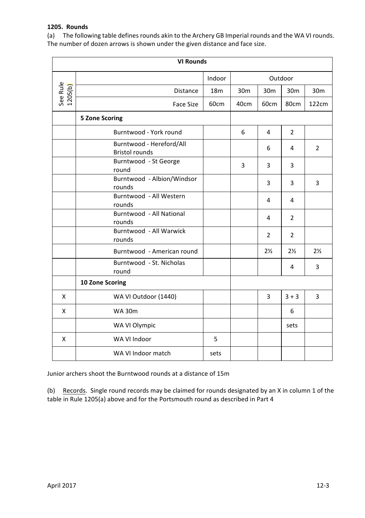## **1205. Rounds**

(a) The following table defines rounds akin to the Archery GB Imperial rounds and the WA VI rounds. The number of dozen arrows is shown under the given distance and face size.

| <b>VI Rounds</b>    |                                                   |                 |                 |                 |                 |                 |  |  |
|---------------------|---------------------------------------------------|-----------------|-----------------|-----------------|-----------------|-----------------|--|--|
|                     |                                                   | Indoor          | Outdoor         |                 |                 |                 |  |  |
| See Rule<br>1205(b) | <b>Distance</b>                                   | 18 <sub>m</sub> | 30 <sub>m</sub> | 30 <sub>m</sub> | 30 <sub>m</sub> | 30 <sub>m</sub> |  |  |
|                     | <b>Face Size</b>                                  | 60cm            | 40cm            | 60cm            | 80cm            | 122cm           |  |  |
| 5 Zone Scoring      |                                                   |                 |                 |                 |                 |                 |  |  |
|                     | Burntwood - York round                            |                 | 6               | 4               | $\overline{2}$  |                 |  |  |
|                     | Burntwood - Hereford/All<br><b>Bristol rounds</b> |                 |                 | 6               | 4               | 2               |  |  |
|                     | Burntwood - St George<br>round                    |                 | 3               | 3               | 3               |                 |  |  |
|                     | Burntwood - Albion/Windsor<br>rounds              |                 |                 | 3               | 3               | 3               |  |  |
|                     | Burntwood - All Western<br>rounds                 |                 |                 | 4               | 4               |                 |  |  |
|                     | Burntwood - All National<br>rounds                |                 |                 | 4               | $\overline{2}$  |                 |  |  |
|                     | Burntwood - All Warwick<br>rounds                 |                 |                 | $\overline{2}$  | $\overline{2}$  |                 |  |  |
|                     | Burntwood - American round                        |                 |                 | $2\frac{1}{2}$  | $2\frac{1}{2}$  | $2\frac{1}{2}$  |  |  |
|                     | Burntwood - St. Nicholas<br>round                 |                 |                 |                 | 4               | 3               |  |  |
| 10 Zone Scoring     |                                                   |                 |                 |                 |                 |                 |  |  |
| X                   | WA VI Outdoor (1440)                              |                 |                 | 3               | $3 + 3$         | 3               |  |  |
| X                   | <b>WA 30m</b>                                     |                 |                 |                 | 6               |                 |  |  |
|                     | WA VI Olympic                                     |                 |                 |                 | sets            |                 |  |  |
| X                   | WA VI Indoor                                      | 5               |                 |                 |                 |                 |  |  |
|                     | WA VI Indoor match                                | sets            |                 |                 |                 |                 |  |  |

Junior archers shoot the Burntwood rounds at a distance of 15m

(b) Records. Single round records may be claimed for rounds designated by an X in column 1 of the table in Rule 1205(a) above and for the Portsmouth round as described in Part 4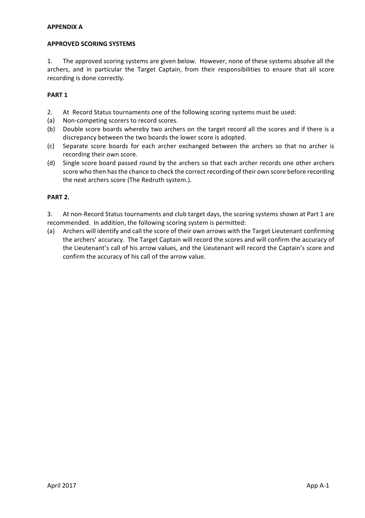#### **APPFNDIX A**

### **APPROVED SCORING SYSTEMS**

1. The approved scoring systems are given below. However, none of these systems absolve all the archers, and in particular the Target Captain, from their responsibilities to ensure that all score recording is done correctly.

### **PART 1**

- 2. At Record Status tournaments one of the following scoring systems must be used:
- (a) Non-competing scorers to record scores.
- (b) Double score boards whereby two archers on the target record all the scores and if there is a discrepancy between the two boards the lower score is adopted.
- (c) Separate score boards for each archer exchanged between the archers so that no archer is recording their own score.
- (d) Single score board passed round by the archers so that each archer records one other archers score who then has the chance to check the correct recording of their own score before recording the next archers score (The Redruth system.).

## **PART 2.**

- 3. At non-Record Status tournaments and club target days, the scoring systems shown at Part 1 are recommended. In addition, the following scoring system is permitted:
- (a) Archers will identify and call the score of their own arrows with the Target Lieutenant confirming the archers' accuracy. The Target Captain will record the scores and will confirm the accuracy of the Lieutenant's call of his arrow values, and the Lieutenant will record the Captain's score and confirm the accuracy of his call of the arrow value.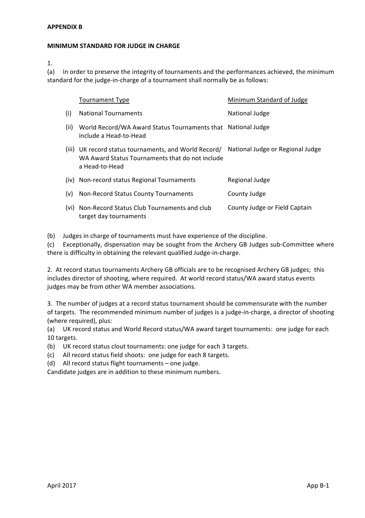#### **APPFNDIX B**

#### **MINIMUM STANDARD FOR JUDGE IN CHARGE**

1.

(a) In order to preserve the integrity of tournaments and the performances achieved, the minimum standard for the judge-in-charge of a tournament shall normally be as follows:

|      | <b>Tournament Type</b>                                                                                                     | Minimum Standard of Judge        |
|------|----------------------------------------------------------------------------------------------------------------------------|----------------------------------|
| (i)  | <b>National Tournaments</b>                                                                                                | National Judge                   |
| (ii) | World Record/WA Award Status Tournaments that National Judge<br>include a Head-to-Head                                     |                                  |
|      | (iii) UK record status tournaments, and World Record/<br>WA Award Status Tournaments that do not include<br>a Head-to-Head | National Judge or Regional Judge |
|      | (iv) Non-record status Regional Tournaments                                                                                | Regional Judge                   |
| (v)  | Non-Record Status County Tournaments                                                                                       | County Judge                     |
|      | (vi) Non-Record Status Club Tournaments and club<br>target day tournaments                                                 | County Judge or Field Captain    |

(b) Judges in charge of tournaments must have experience of the discipline.

(c) Exceptionally, dispensation may be sought from the Archery GB Judges sub-Committee where there is difficulty in obtaining the relevant qualified Judge-in-charge.

2. At record status tournaments Archery GB officials are to be recognised Archery GB judges; this includes director of shooting, where required. At world record status/WA award status events judges may be from other WA member associations.

3. The number of judges at a record status tournament should be commensurate with the number of targets. The recommended minimum number of judges is a judge-in-charge, a director of shooting (where required), plus:

(a) UK record status and World Record status/WA award target tournaments: one judge for each 10 targets.

- (b) UK record status clout tournaments: one judge for each 3 targets.
- (c) All record status field shoots: one judge for each 8 targets.
- (d) All record status flight tournaments one judge.

Candidate judges are in addition to these minimum numbers.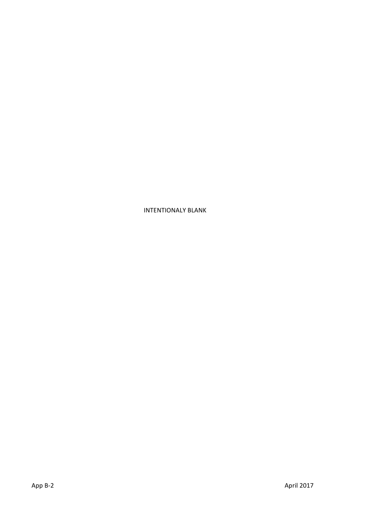# INTENTIONALY BLANK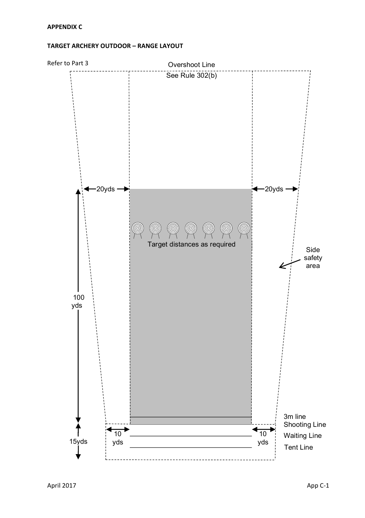## **TARGET ARCHERY OUTDOOR – RANGE LAYOUT**

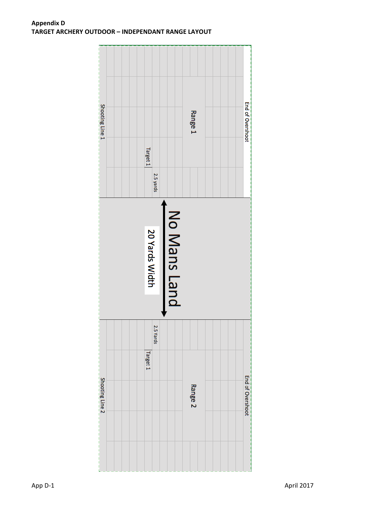## **Appendix D TARGET ARCHERY OUTDOOR – INDEPENDANT RANGE LAYOUT**

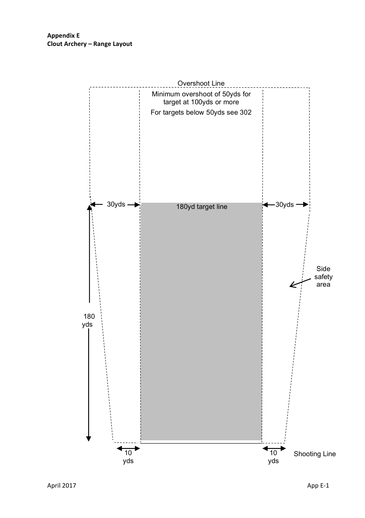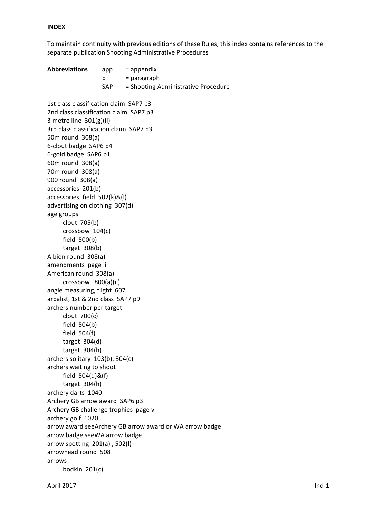### **INDEX**

To maintain continuity with previous editions of these Rules, this index contains references to the separate publication Shooting Administrative Procedures

**Abbreviations** app = appendix  $p = paragram$ SAP = Shooting Administrative Procedure 1st class classification claim SAP7 p3 2nd class classification claim SAP7 p3 3 metre line 301(g)(ii) 3rd class classification claim SAP7 p3 50m round 308(a) 6-clout badge SAP6 p4 6-gold badge SAP6 p1 60m round 308(a) 70m round 308(a) 900 round 308(a) accessories 201(b) accessories, field 502(k)&(l) advertising on clothing 307(d) age groups clout 705(b) crossbow 104(c) field 500(b) target 308(b) Albion round 308(a) amendments page ii American round 308(a) crossbow 800(a)(ii) angle measuring, flight 607 arbalist, 1st & 2nd class SAP7 p9 archers number per target clout 700(c) field 504(b) field 504(f) target  $304(d)$ target 304(h) archers solitary  $103(b)$ ,  $304(c)$ archers waiting to shoot field 504(d)&(f) target 304(h) archery darts 1040 Archery GB arrow award SAP6 p3 Archery GB challenge trophies page v archery golf 1020 arrow award seeArchery GB arrow award or WA arrow badge arrow badge seeWA arrow badge arrow spotting  $201(a)$ , 502(l) arrowhead round 508 arrows bodkin  $201(c)$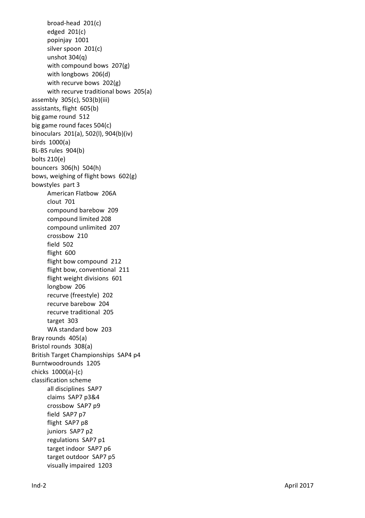broad -head 201(c) edged  $201(c)$ popinjay 1001 silver spoon 201(c) unshot 304(a) with compound bows  $207(g)$ with longbows 206(d) with recurve bows 202(g) with recurve traditional bows 205(a) assembly 305(c), 503(b)(iii) assistants, flight 605(b) big game round 512 big game round faces 504(c) binoculars 201(a), 502(l), 904(b)(iv) birds 1000(a) BL-BS rules 904(b) bolts  $210(e)$ bouncers 306(h) 504(h) bows, weighing of flight bows  $602(g)$ bowstyles part 3 American Flatbow 206A clout 701 compound barebow 209 compound limited 208 compound unlimited 207 crossbow 210 field 502 flight 600 flight bow compound 212 flight bow, conventional 211 flight weight divisions 601 longbow 206 recurve (freestyle) 202 recurve barebow 204 recurve traditional 205 target 303 WA standard bow 203 Bray rounds 405(a) Bristol rounds 308(a) British Target Championships SAP4 p4 Burntwoodrounds 1205 chicks 1000(a) -(c) classification scheme all disciplines SAP7 claims SAP7 p3&4 crossbow SAP7 p9 field SAP7 p7 flight SAP7 p8 juniors SAP7 p2 regulations SAP7 p1 target indoor SAP7 p6 target outdoor SAP7 p5 visually impaired 1203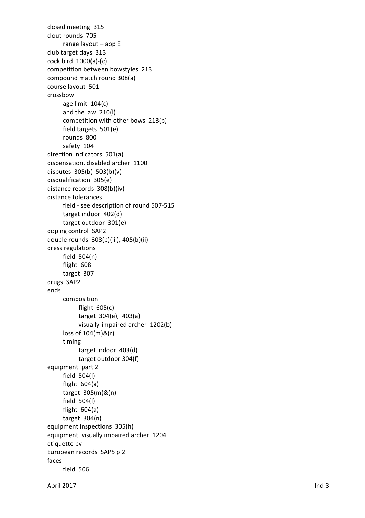closed meeting 315 clout rounds 705 range layout - app E club target days 313 cock bird 1000(a) -(c) competition between bowstyles 213 compound match round 308(a) course layout 501 crossbow age limit 104(c) and the law 210(l) competition with other bows 213(b) field targets 501(e) rounds 800 safety 104 direction indicators 501(a) dispensation, disabled archer 1100 disputes  $305(b) 503(b)(v)$ disqualification 305(e) distance records 308(b)(iv) distance tolerances field - see description of round 507-515 target indoor 402(d) target outdoor 301(e) doping control SAP2 double rounds  $308(b)$ (iii), 405(b)(ii) dress regulations field  $504(n)$ flight 608 target 307 drugs SAP2 ends composition flight  $605(c)$ target 304(e), 403(a) visually -impaired archer 1202(b) loss of 104(m)&(r) timing target indoor 403(d) target outdoor 304(f) equipment part 2 field 504(l) flight  $604(a)$ target 305(m)&(n) field 504(l) flight  $604(a)$ target  $304(n)$ equipment inspections 305(h) equipment, visually impaired archer 1204 etiquette pv European records SAP5 p 2 faces field 506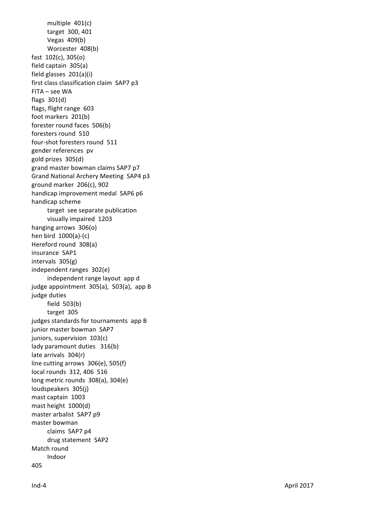multiple 401(c) target 300, 401 Vegas  $409(b)$ Worcester 408(b) fast 102(c), 305(o) field captain 305(a) field glasses 201(a)(i) first class classification claim SAP7 p3 FITA - see WA flags  $301(d)$ flags, flight range 603 foot markers 201(b) forester round faces 506(b) foresters round 510 four-shot foresters round 511 gender references pv gold prizes 305(d) grand master bowman claims SAP7 p7 Grand National Archery Meeting SAP4 p3 ground marker 206(c), 902 handicap improvement medal SAP6 p6 handicap scheme target see separate publication visually impaired 1203 hanging arrows 306(o) hen bird 1000(a)-(c) Hereford round 308(a) insurance SAP1 intervals  $305(g)$ independent ranges 302(e) independent range layout app d judge appointment 305(a), 503(a), app B judge duties field 503(b) target 305 judges standards for tournaments app B junior master bowman SAP7 juniors, supervision 103(c) lady paramount duties 316(b) late arrivals 304(r) line cutting arrows  $306(e)$ , 505(f) local rounds 312, 406 516 long metric rounds 308(a), 304(e) loudspeakers 305(j) mast captain 1003 mast height 1000(d) master arbalist SAP7 p9 master bowman claims SAP7 p4 drug statement SAP2 Match round Indoor 405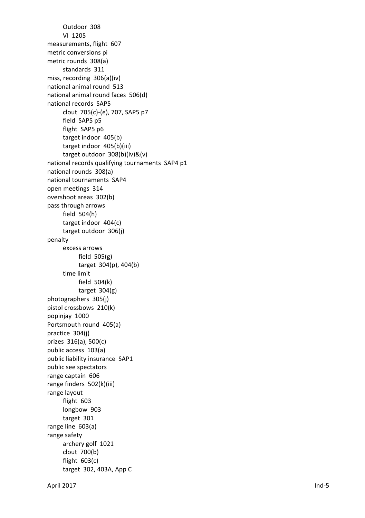Outdoor 308 VI 1205 measurements, flight 607 metric conversions pi metric rounds 308(a) standards 311 miss, recording 306(a)(iv) national animal round 513 national animal round faces 506(d) national records SAP5 clout 705(c)-(e), 707, SAP5 p7 field SAP5 p5 flight SAP5 p6 target indoor 405(b) target indoor 405(b)(iii) target outdoor  $308(b)(iv)&(v)$ national records qualifying tournaments SAP4 p1 national rounds 308(a) national tournaments SAP4 open meetings 314 overshoot areas 302(b) pass through arrows field 504(h) target indoor  $404(c)$ target outdoor 306(j) penalty excess arrows field  $505(g)$ target  $304(p)$ , 404(b) time limit field  $504(k)$ target  $304(g)$ photographers 305(j) pistol crossbows 210(k) popinjay 1000 Portsmouth round 405(a) practice 304(j) prizes 316(a), 500(c) public access 103(a) public liability insurance SAP1 public see spectators range captain 606 range finders 502(k)(iii) range layout flight 603 longbow 903 target 301 range line 603(a) range safety archery golf 1021  $clout$   $700(b)$ flight  $603(c)$ target 302 , 403A, App C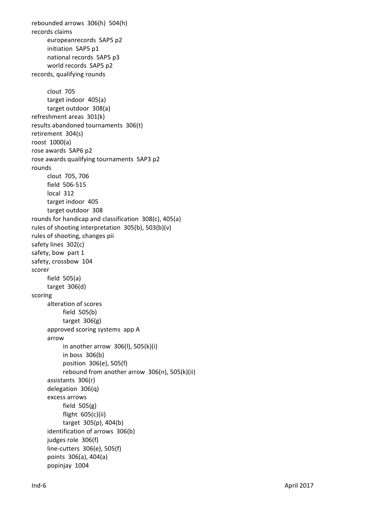rebounded arrows 306(h) 504(h) records claims europeanrecords SAP5 p2 initiation SAP5 p1 national records SAP5 p3 world records SAP5 p2 records, qualifying rounds clout 705 target indoor 405(a) target outdoor 308(a) refreshment areas 301(k) results abandoned tournaments 306(t) retirement 304(s) roost 1000(a) rose awards SAP6 p2 rose awards qualifying tournaments SAP3 p2 rounds clout 705, 706 field 506-515 local 312 target indoor 405 target outdoor 308 rounds for handicap and classification  $308(c)$ , 405(a) rules of shooting interpretation  $305(b)$ ,  $503(b)(v)$ rules of shooting, changes pii safety lines 302(c) safety, bow part 1 safety, crossbow 104 scorer field  $505(a)$ target  $306(d)$ scoring alteration of scores field  $505(b)$ target  $306(g)$ approved scoring systems app A arrow in another arrow  $306(1)$ , 505 $(k)(i)$ in boss  $306(b)$ position 306(e), 505(f) rebound from another arrow  $306(n)$ ,  $505(k)(ii)$ assistants 306(r) delegation 306(q) excess arrows field  $505(g)$ flight  $605(c)(ii)$ target  $305(p)$ , 404(b) identification of arrows 306(b) judges role 306(f) line-cutters  $306(e)$ , 505(f) points 306(a), 404(a) popinjay 1004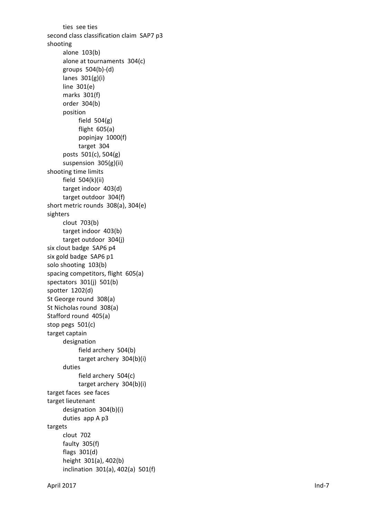ties see ties second class classification claim SAP7 p3 shooting alone  $103(b)$ alone at tournaments 304(c) groups 504(b) -(d) lanes  $301(g)(i)$  $line 301(e)$ marks 301(f) order 304(b) position field  $504(g)$ flight  $605(a)$ popinjay 1000(f) target 304 posts  $501(c)$ ,  $504(g)$ suspension 305(g)(ii) shooting time limits field 504(k)(ii) target indoor 403(d) target outdoor 304(f) short metric rounds 308(a), 304(e) sighters  $clout$   $703(b)$ target indoor 403(b) target outdoor 304(i) six clout badge SAP6 p4 six gold badge SAP6 p1 solo shooting 103(b) spacing competitors, flight 605(a) spectators 301(j) 501(b) spotter 1202(d) St George round 308(a) St Nicholas round 308(a) Stafford round 405(a) stop pegs  $501(c)$ target captain designation field archery 504(b) target archery 304(b)(i) duties field archery 504(c) target archery 304(b)(i) target faces see faces target lieutenant designation 304(b)(i) duties app A p3 targets clout 702 faulty  $305(f)$ flags  $301(d)$ height 301(a), 402(b) inclination 301(a), 402(a) 501(f)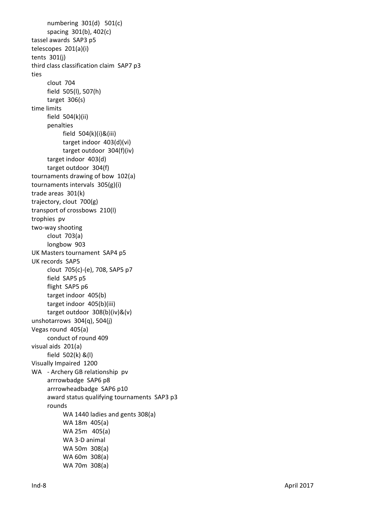numbering  $301(d)$   $501(c)$ spacing 301(b), 402(c) tassel awards SAP3 p5 telescopes 201(a)(i) tents  $301(i)$ third class classification claim SAP7 p3 ties clout 704 field 505(l), 507(h) target  $306(s)$ time limits field 504(k)(ii) penalties field 504(k)(i)&(iii) target indoor 403(d)(vi) target outdoor 304(f)(iv) target indoor 403(d) target outdoor 304(f) tournaments drawing of bow 102(a) tournaments intervals  $305(g)(i)$ trade areas 301(k) trajectory, clout  $700(g)$ transport of crossbows 210(l) trophies pv two -way shooting  $clout$   $703(a)$ longbow 903 UK Masters tournament SAP4 p5 UK records SAP5 clout 705(c)-(e), 708, SAP5 p7 field SAP5 p5 flight SAP5 p6 target indoor 405(b) target indoor 405(b)(iii) target outdoor 308(b)(iv)&(v) unshotarrows  $304(q)$ , 504(j) Vegas round 405(a) conduct of round 409 visual aids 201(a) field 502(k) &(l) Visually Impaired 1200 WA - Archery GB relationship pv arrrowbadge SAP6 p8 arrrowheadbadge SAP6 p10 award status qualifying tournaments SAP3 p3 rounds WA 1440 ladies and gents 308(a) WA 18m 405(a) WA 25m 405(a) WA 3-D animal WA 50m 308(a) WA 60m 308(a) WA 70m 308(a)